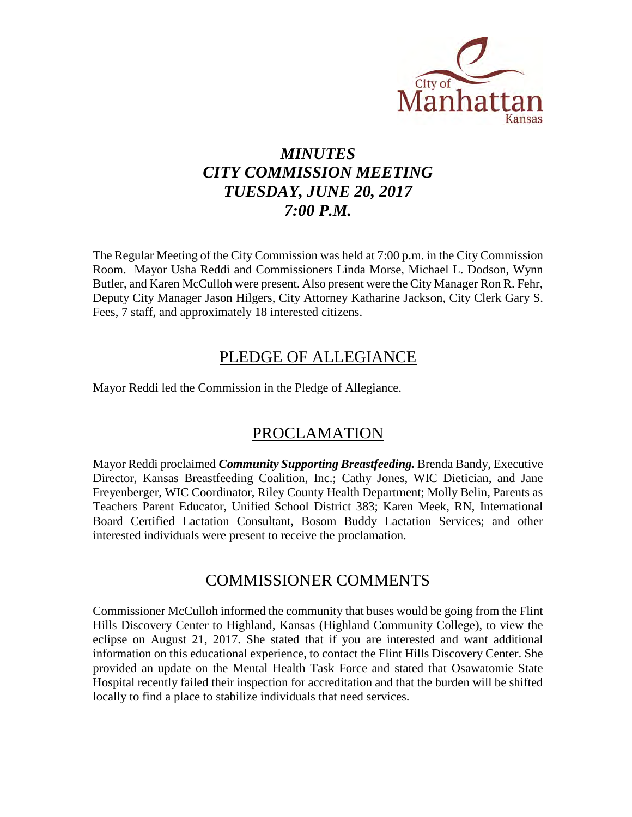

# *MINUTES CITY COMMISSION MEETING TUESDAY, JUNE 20, 2017 7:00 P.M.*

The Regular Meeting of the City Commission was held at 7:00 p.m. in the City Commission Room. Mayor Usha Reddi and Commissioners Linda Morse, Michael L. Dodson, Wynn Butler, and Karen McCulloh were present. Also present were the City Manager Ron R. Fehr, Deputy City Manager Jason Hilgers, City Attorney Katharine Jackson, City Clerk Gary S. Fees, 7 staff, and approximately 18 interested citizens.

## PLEDGE OF ALLEGIANCE

Mayor Reddi led the Commission in the Pledge of Allegiance.

## PROCLAMATION

Mayor Reddi proclaimed *Community Supporting Breastfeeding.* Brenda Bandy, Executive Director, Kansas Breastfeeding Coalition, Inc.; Cathy Jones, WIC Dietician, and Jane Freyenberger, WIC Coordinator, Riley County Health Department; Molly Belin, Parents as Teachers Parent Educator, Unified School District 383; Karen Meek, RN, International Board Certified Lactation Consultant, Bosom Buddy Lactation Services; and other interested individuals were present to receive the proclamation.

## COMMISSIONER COMMENTS

Commissioner McCulloh informed the community that buses would be going from the Flint Hills Discovery Center to Highland, Kansas (Highland Community College), to view the eclipse on August 21, 2017. She stated that if you are interested and want additional information on this educational experience, to contact the Flint Hills Discovery Center. She provided an update on the Mental Health Task Force and stated that Osawatomie State Hospital recently failed their inspection for accreditation and that the burden will be shifted locally to find a place to stabilize individuals that need services.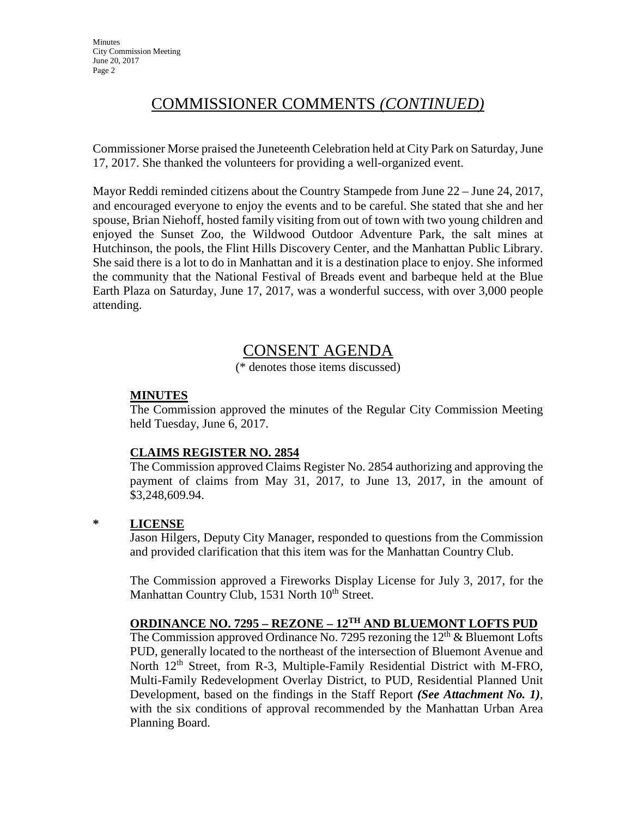# COMMISSIONER COMMENTS *(CONTINUED)*

Commissioner Morse praised the Juneteenth Celebration held at City Park on Saturday, June 17, 2017. She thanked the volunteers for providing a well-organized event.

Mayor Reddi reminded citizens about the Country Stampede from June 22 – June 24, 2017, and encouraged everyone to enjoy the events and to be careful. She stated that she and her spouse, Brian Niehoff, hosted family visiting from out of town with two young children and enjoyed the Sunset Zoo, the Wildwood Outdoor Adventure Park, the salt mines at Hutchinson, the pools, the Flint Hills Discovery Center, and the Manhattan Public Library. She said there is a lot to do in Manhattan and it is a destination place to enjoy. She informed the community that the National Festival of Breads event and barbeque held at the Blue Earth Plaza on Saturday, June 17, 2017, was a wonderful success, with over 3,000 people attending.

## CONSENT AGENDA

(\* denotes those items discussed)

## **MINUTES**

The Commission approved the minutes of the Regular City Commission Meeting held Tuesday, June 6, 2017.

#### **CLAIMS REGISTER NO. 2854**

The Commission approved Claims Register No. 2854 authorizing and approving the payment of claims from May 31, 2017, to June 13, 2017, in the amount of \$3,248,609.94.

#### **\* LICENSE**

Jason Hilgers, Deputy City Manager, responded to questions from the Commission and provided clarification that this item was for the Manhattan Country Club.

The Commission approved a Fireworks Display License for July 3, 2017, for the Manhattan Country Club, 1531 North 10<sup>th</sup> Street.

## **ORDINANCE NO. 7295 – REZONE – 12TH AND BLUEMONT LOFTS PUD**

The Commission approved Ordinance No. 7295 rezoning the  $12<sup>th</sup>$  & Bluemont Lofts PUD, generally located to the northeast of the intersection of Bluemont Avenue and North 12<sup>th</sup> Street, from R-3, Multiple-Family Residential District with M-FRO, Multi-Family Redevelopment Overlay District, to PUD, Residential Planned Unit Development, based on the findings in the Staff Report *(See Attachment No. 1)*, with the six conditions of approval recommended by the Manhattan Urban Area Planning Board.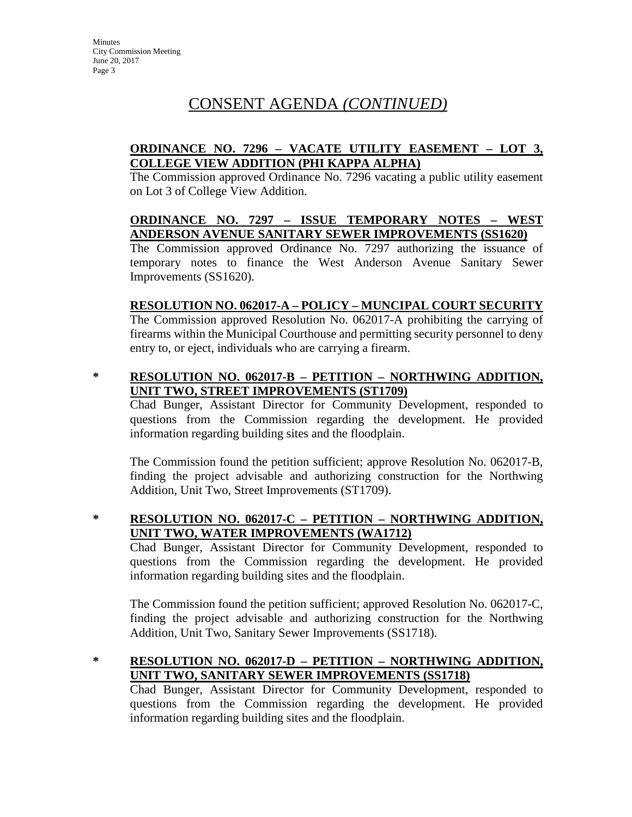# CONSENT AGENDA *(CONTINUED)*

## **ORDINANCE NO. 7296 – VACATE UTILITY EASEMENT – LOT 3, COLLEGE VIEW ADDITION (PHI KAPPA ALPHA)**

The Commission approved Ordinance No. 7296 vacating a public utility easement on Lot 3 of College View Addition.

## **ORDINANCE NO. 7297 – ISSUE TEMPORARY NOTES – WEST ANDERSON AVENUE SANITARY SEWER IMPROVEMENTS (SS1620)**

The Commission approved Ordinance No. 7297 authorizing the issuance of temporary notes to finance the West Anderson Avenue Sanitary Sewer Improvements (SS1620).

## **RESOLUTION NO. 062017-A – POLICY – MUNCIPAL COURT SECURITY**

The Commission approved Resolution No. 062017-A prohibiting the carrying of firearms within the Municipal Courthouse and permitting security personnel to deny entry to, or eject, individuals who are carrying a firearm.

## **\* RESOLUTION NO. 062017-B – PETITION – NORTHWING ADDITION, UNIT TWO, STREET IMPROVEMENTS (ST1709)**

Chad Bunger, Assistant Director for Community Development, responded to questions from the Commission regarding the development. He provided information regarding building sites and the floodplain.

The Commission found the petition sufficient; approve Resolution No. 062017-B, finding the project advisable and authorizing construction for the Northwing Addition, Unit Two, Street Improvements (ST1709).

## **\* RESOLUTION NO. 062017-C – PETITION – NORTHWING ADDITION, UNIT TWO, WATER IMPROVEMENTS (WA1712)**

Chad Bunger, Assistant Director for Community Development, responded to questions from the Commission regarding the development. He provided information regarding building sites and the floodplain.

The Commission found the petition sufficient; approved Resolution No. 062017-C, finding the project advisable and authorizing construction for the Northwing Addition, Unit Two, Sanitary Sewer Improvements (SS1718).

## **\* RESOLUTION NO. 062017-D – PETITION – NORTHWING ADDITION, UNIT TWO, SANITARY SEWER IMPROVEMENTS (SS1718)**

Chad Bunger, Assistant Director for Community Development, responded to questions from the Commission regarding the development. He provided information regarding building sites and the floodplain.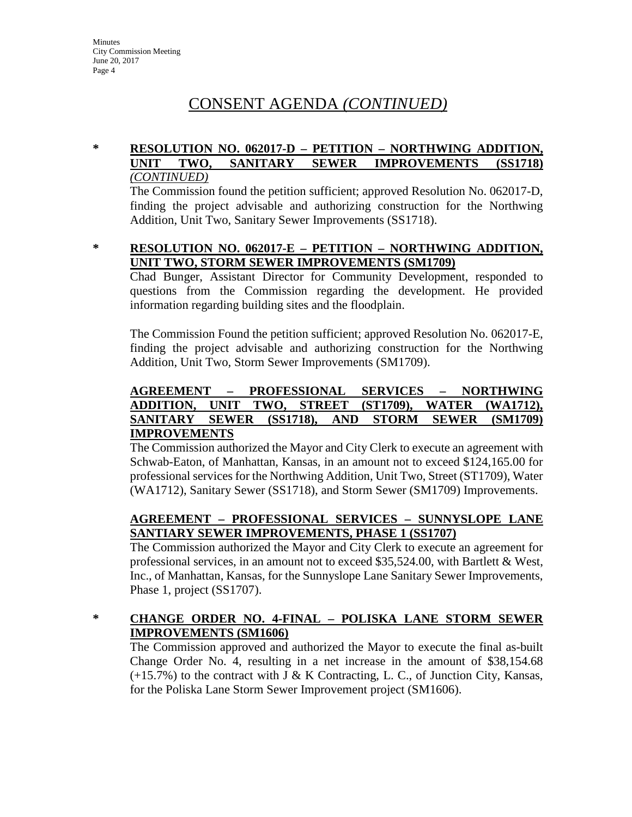# CONSENT AGENDA *(CONTINUED)*

## **\* RESOLUTION NO. 062017-D – PETITION – NORTHWING ADDITION, UNIT TWO, SANITARY SEWER IMPROVEMENTS (SS1718)** *(CONTINUED)*

The Commission found the petition sufficient; approved Resolution No. 062017-D, finding the project advisable and authorizing construction for the Northwing Addition, Unit Two, Sanitary Sewer Improvements (SS1718).

#### **\* RESOLUTION NO. 062017-E – PETITION – NORTHWING ADDITION, UNIT TWO, STORM SEWER IMPROVEMENTS (SM1709)**

Chad Bunger, Assistant Director for Community Development, responded to questions from the Commission regarding the development. He provided information regarding building sites and the floodplain.

The Commission Found the petition sufficient; approved Resolution No. 062017-E, finding the project advisable and authorizing construction for the Northwing Addition, Unit Two, Storm Sewer Improvements (SM1709).

### **AGREEMENT – PROFESSIONAL SERVICES – NORTHWING ADDITION, UNIT TWO, STREET (ST1709), WATER (WA1712), SANITARY SEWER (SS1718), AND STORM SEWER (SM1709) IMPROVEMENTS**

The Commission authorized the Mayor and City Clerk to execute an agreement with Schwab-Eaton, of Manhattan, Kansas, in an amount not to exceed \$124,165.00 for professional services for the Northwing Addition, Unit Two, Street (ST1709), Water (WA1712), Sanitary Sewer (SS1718), and Storm Sewer (SM1709) Improvements.

## **AGREEMENT – PROFESSIONAL SERVICES – SUNNYSLOPE LANE SANTIARY SEWER IMPROVEMENTS, PHASE 1 (SS1707)**

The Commission authorized the Mayor and City Clerk to execute an agreement for professional services, in an amount not to exceed \$35,524.00, with Bartlett & West, Inc., of Manhattan, Kansas, for the Sunnyslope Lane Sanitary Sewer Improvements, Phase 1, project (SS1707).

## **\* CHANGE ORDER NO. 4-FINAL – POLISKA LANE STORM SEWER IMPROVEMENTS (SM1606)**

The Commission approved and authorized the Mayor to execute the final as-built Change Order No. 4, resulting in a net increase in the amount of \$38,154.68  $(+15.7%)$  to the contract with J & K Contracting, L. C., of Junction City, Kansas, for the Poliska Lane Storm Sewer Improvement project (SM1606).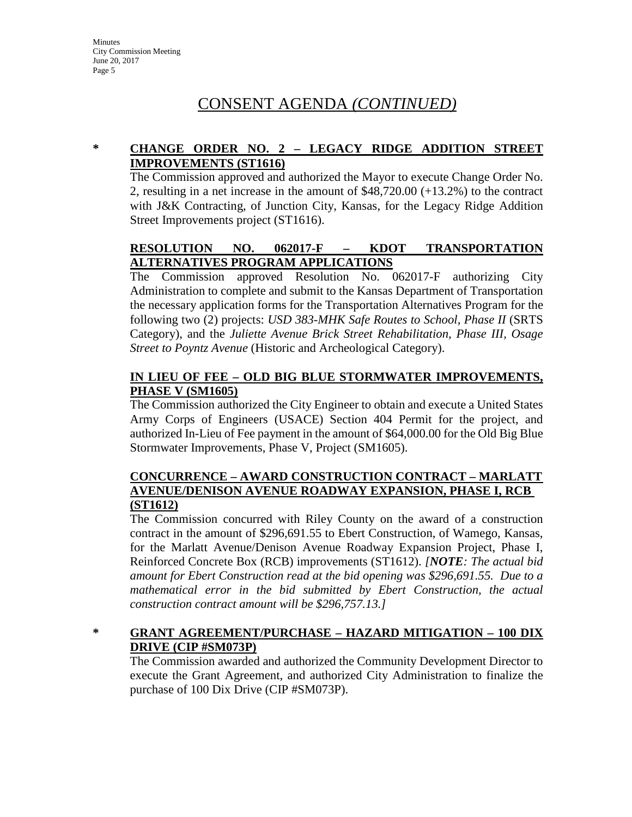# CONSENT AGENDA *(CONTINUED)*

## **\* CHANGE ORDER NO. 2 – LEGACY RIDGE ADDITION STREET IMPROVEMENTS (ST1616)**

The Commission approved and authorized the Mayor to execute Change Order No. 2, resulting in a net increase in the amount of \$48,720.00 (+13.2%) to the contract with J&K Contracting, of Junction City, Kansas, for the Legacy Ridge Addition Street Improvements project (ST1616).

## **RESOLUTION NO. 062017-F – KDOT TRANSPORTATION ALTERNATIVES PROGRAM APPLICATIONS**

The Commission approved Resolution No. 062017-F authorizing City Administration to complete and submit to the Kansas Department of Transportation the necessary application forms for the Transportation Alternatives Program for the following two (2) projects: *USD 383-MHK Safe Routes to School, Phase II* (SRTS Category), and the *Juliette Avenue Brick Street Rehabilitation, Phase III, Osage Street to Poyntz Avenue* (Historic and Archeological Category).

## **IN LIEU OF FEE – OLD BIG BLUE STORMWATER IMPROVEMENTS, PHASE V (SM1605)**

The Commission authorized the City Engineer to obtain and execute a United States Army Corps of Engineers (USACE) Section 404 Permit for the project, and authorized In-Lieu of Fee payment in the amount of \$64,000.00 for the Old Big Blue Stormwater Improvements, Phase V, Project (SM1605).

### **CONCURRENCE – AWARD CONSTRUCTION CONTRACT – MARLATT AVENUE/DENISON AVENUE ROADWAY EXPANSION, PHASE I, RCB (ST1612)**

The Commission concurred with Riley County on the award of a construction contract in the amount of \$296,691.55 to Ebert Construction, of Wamego, Kansas, for the Marlatt Avenue/Denison Avenue Roadway Expansion Project, Phase I, Reinforced Concrete Box (RCB) improvements (ST1612). *[NOTE: The actual bid amount for Ebert Construction read at the bid opening was \$296,691.55. Due to a mathematical error in the bid submitted by Ebert Construction, the actual construction contract amount will be \$296,757.13.]*

## **\* GRANT AGREEMENT/PURCHASE – HAZARD MITIGATION – 100 DIX DRIVE (CIP #SM073P)**

The Commission awarded and authorized the Community Development Director to execute the Grant Agreement, and authorized City Administration to finalize the purchase of 100 Dix Drive (CIP #SM073P).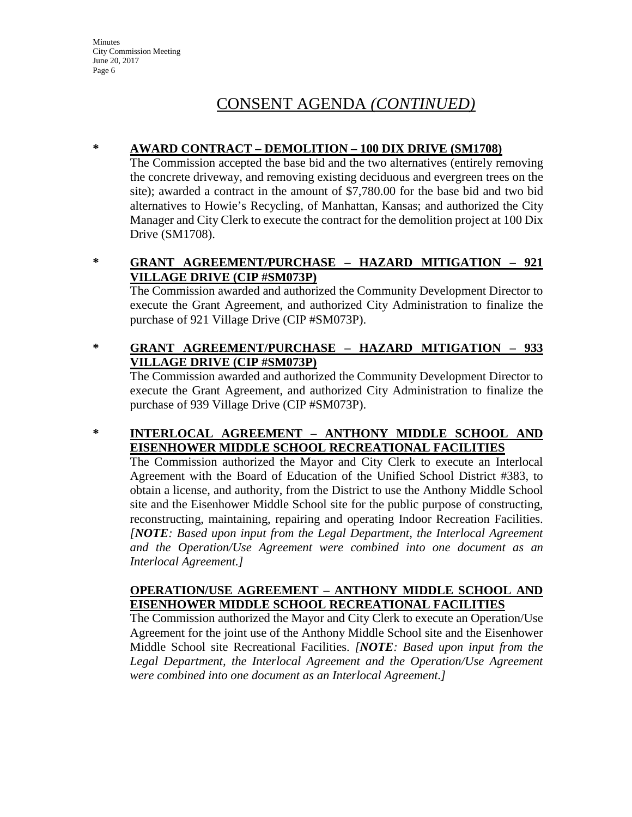# CONSENT AGENDA *(CONTINUED)*

## **\* AWARD CONTRACT – DEMOLITION – 100 DIX DRIVE (SM1708)**

The Commission accepted the base bid and the two alternatives (entirely removing the concrete driveway, and removing existing deciduous and evergreen trees on the site); awarded a contract in the amount of \$7,780.00 for the base bid and two bid alternatives to Howie's Recycling, of Manhattan, Kansas; and authorized the City Manager and City Clerk to execute the contract for the demolition project at 100 Dix Drive (SM1708).

## **\* GRANT AGREEMENT/PURCHASE – HAZARD MITIGATION – 921 VILLAGE DRIVE (CIP #SM073P)**

The Commission awarded and authorized the Community Development Director to execute the Grant Agreement, and authorized City Administration to finalize the purchase of 921 Village Drive (CIP #SM073P).

## **\* GRANT AGREEMENT/PURCHASE – HAZARD MITIGATION – 933 VILLAGE DRIVE (CIP #SM073P)**

The Commission awarded and authorized the Community Development Director to execute the Grant Agreement, and authorized City Administration to finalize the purchase of 939 Village Drive (CIP #SM073P).

## **\* INTERLOCAL AGREEMENT – ANTHONY MIDDLE SCHOOL AND EISENHOWER MIDDLE SCHOOL RECREATIONAL FACILITIES**

The Commission authorized the Mayor and City Clerk to execute an Interlocal Agreement with the Board of Education of the Unified School District #383, to obtain a license, and authority, from the District to use the Anthony Middle School site and the Eisenhower Middle School site for the public purpose of constructing, reconstructing, maintaining, repairing and operating Indoor Recreation Facilities. *[NOTE: Based upon input from the Legal Department, the Interlocal Agreement and the Operation/Use Agreement were combined into one document as an Interlocal Agreement.]*

#### **OPERATION/USE AGREEMENT – ANTHONY MIDDLE SCHOOL AND EISENHOWER MIDDLE SCHOOL RECREATIONAL FACILITIES**

The Commission authorized the Mayor and City Clerk to execute an Operation/Use Agreement for the joint use of the Anthony Middle School site and the Eisenhower Middle School site Recreational Facilities. *[NOTE: Based upon input from the*  Legal Department, the Interlocal Agreement and the Operation/Use Agreement *were combined into one document as an Interlocal Agreement.]*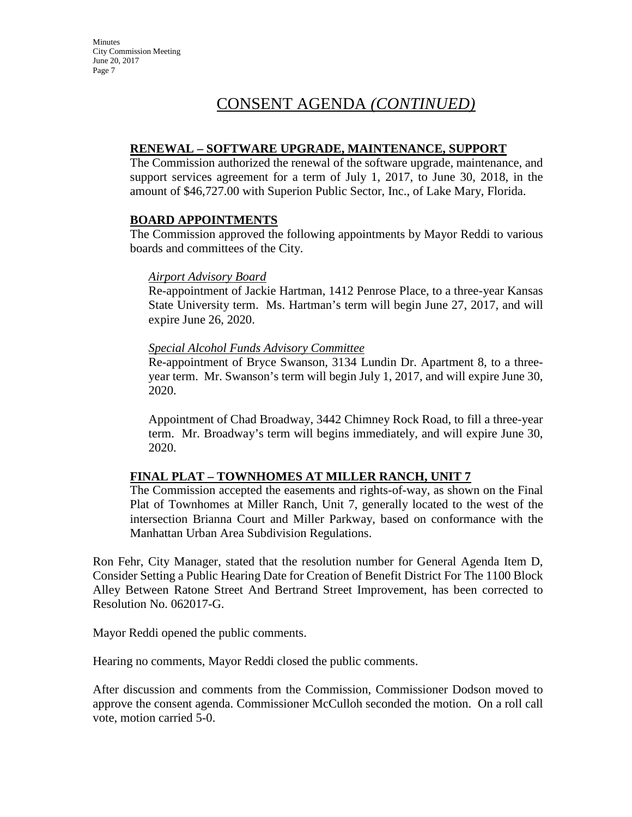# CONSENT AGENDA *(CONTINUED)*

#### **RENEWAL – SOFTWARE UPGRADE, MAINTENANCE, SUPPORT**

The Commission authorized the renewal of the software upgrade, maintenance, and support services agreement for a term of July 1, 2017, to June 30, 2018, in the amount of \$46,727.00 with Superion Public Sector, Inc., of Lake Mary, Florida.

#### **BOARD APPOINTMENTS**

The Commission approved the following appointments by Mayor Reddi to various boards and committees of the City.

#### *Airport Advisory Board*

Re-appointment of Jackie Hartman, 1412 Penrose Place, to a three-year Kansas State University term. Ms. Hartman's term will begin June 27, 2017, and will expire June 26, 2020.

#### *Special Alcohol Funds Advisory Committee*

Re-appointment of Bryce Swanson, 3134 Lundin Dr. Apartment 8, to a threeyear term. Mr. Swanson's term will begin July 1, 2017, and will expire June 30, 2020.

Appointment of Chad Broadway, 3442 Chimney Rock Road, to fill a three-year term. Mr. Broadway's term will begins immediately, and will expire June 30, 2020.

## **FINAL PLAT – TOWNHOMES AT MILLER RANCH, UNIT 7**

The Commission accepted the easements and rights-of-way, as shown on the Final Plat of Townhomes at Miller Ranch, Unit 7, generally located to the west of the intersection Brianna Court and Miller Parkway, based on conformance with the Manhattan Urban Area Subdivision Regulations.

Ron Fehr, City Manager, stated that the resolution number for General Agenda Item D, Consider Setting a Public Hearing Date for Creation of Benefit District For The 1100 Block Alley Between Ratone Street And Bertrand Street Improvement, has been corrected to Resolution No. 062017-G.

Mayor Reddi opened the public comments.

Hearing no comments, Mayor Reddi closed the public comments.

After discussion and comments from the Commission, Commissioner Dodson moved to approve the consent agenda. Commissioner McCulloh seconded the motion. On a roll call vote, motion carried 5-0.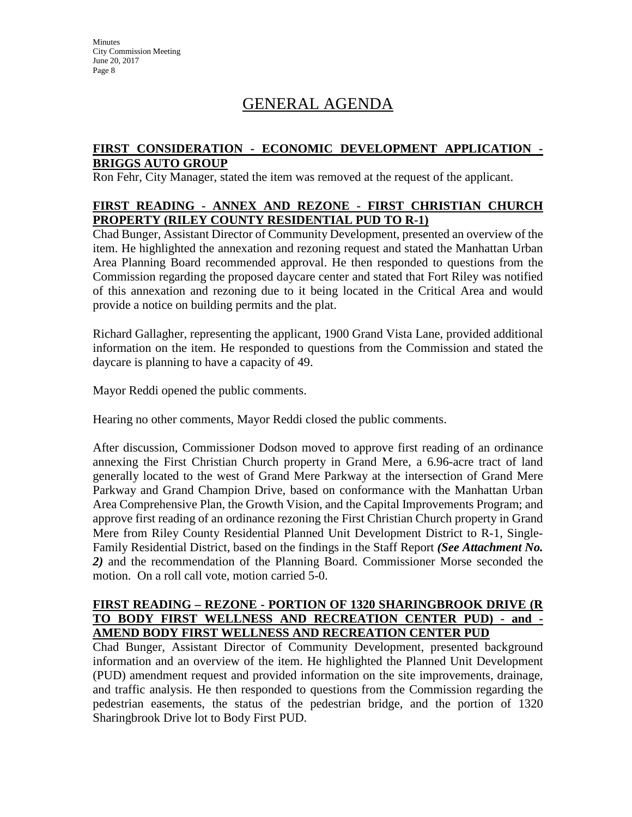# GENERAL AGENDA

#### **FIRST CONSIDERATION - ECONOMIC DEVELOPMENT APPLICATION - BRIGGS AUTO GROUP**

Ron Fehr, City Manager, stated the item was removed at the request of the applicant.

### **FIRST READING - ANNEX AND REZONE - FIRST CHRISTIAN CHURCH PROPERTY (RILEY COUNTY RESIDENTIAL PUD TO R-1)**

Chad Bunger, Assistant Director of Community Development, presented an overview of the item. He highlighted the annexation and rezoning request and stated the Manhattan Urban Area Planning Board recommended approval. He then responded to questions from the Commission regarding the proposed daycare center and stated that Fort Riley was notified of this annexation and rezoning due to it being located in the Critical Area and would provide a notice on building permits and the plat.

Richard Gallagher, representing the applicant, 1900 Grand Vista Lane, provided additional information on the item. He responded to questions from the Commission and stated the daycare is planning to have a capacity of 49.

Mayor Reddi opened the public comments.

Hearing no other comments, Mayor Reddi closed the public comments.

After discussion, Commissioner Dodson moved to approve first reading of an ordinance annexing the First Christian Church property in Grand Mere, a 6.96-acre tract of land generally located to the west of Grand Mere Parkway at the intersection of Grand Mere Parkway and Grand Champion Drive, based on conformance with the Manhattan Urban Area Comprehensive Plan, the Growth Vision, and the Capital Improvements Program; and approve first reading of an ordinance rezoning the First Christian Church property in Grand Mere from Riley County Residential Planned Unit Development District to R-1, Single-Family Residential District, based on the findings in the Staff Report *(See Attachment No. 2)* and the recommendation of the Planning Board. Commissioner Morse seconded the motion. On a roll call vote, motion carried 5-0.

#### **FIRST READING – REZONE - PORTION OF 1320 SHARINGBROOK DRIVE (R TO BODY FIRST WELLNESS AND RECREATION CENTER PUD) - and - AMEND BODY FIRST WELLNESS AND RECREATION CENTER PUD**

Chad Bunger, Assistant Director of Community Development, presented background information and an overview of the item. He highlighted the Planned Unit Development (PUD) amendment request and provided information on the site improvements, drainage, and traffic analysis. He then responded to questions from the Commission regarding the pedestrian easements, the status of the pedestrian bridge, and the portion of 1320 Sharingbrook Drive lot to Body First PUD.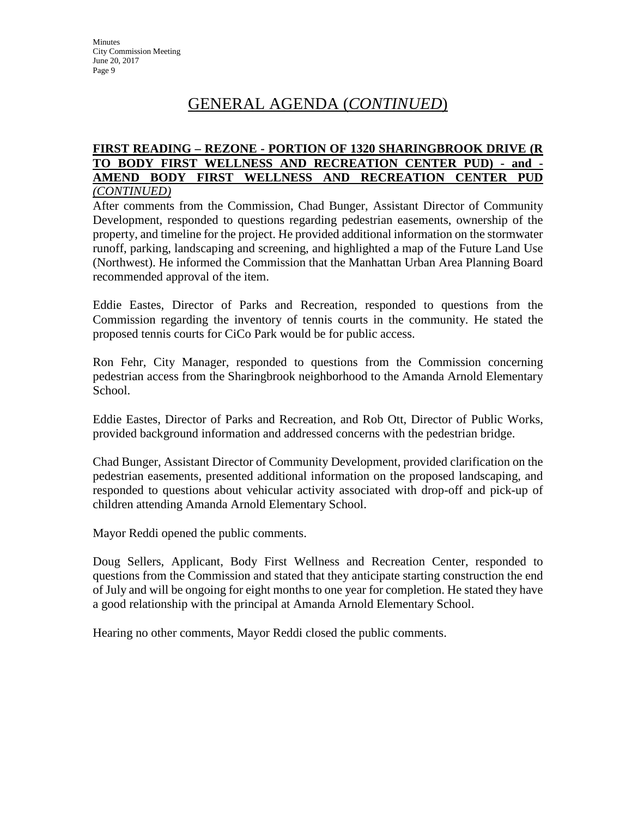# GENERAL AGENDA (*CONTINUED*)

#### **FIRST READING – REZONE - PORTION OF 1320 SHARINGBROOK DRIVE (R TO BODY FIRST WELLNESS AND RECREATION CENTER PUD) - and - AMEND BODY FIRST WELLNESS AND RECREATION CENTER PUD** *(CONTINUED)*

After comments from the Commission, Chad Bunger, Assistant Director of Community Development, responded to questions regarding pedestrian easements, ownership of the property, and timeline for the project. He provided additional information on the stormwater runoff, parking, landscaping and screening, and highlighted a map of the Future Land Use (Northwest). He informed the Commission that the Manhattan Urban Area Planning Board recommended approval of the item.

Eddie Eastes, Director of Parks and Recreation, responded to questions from the Commission regarding the inventory of tennis courts in the community. He stated the proposed tennis courts for CiCo Park would be for public access.

Ron Fehr, City Manager, responded to questions from the Commission concerning pedestrian access from the Sharingbrook neighborhood to the Amanda Arnold Elementary School.

Eddie Eastes, Director of Parks and Recreation, and Rob Ott, Director of Public Works, provided background information and addressed concerns with the pedestrian bridge.

Chad Bunger, Assistant Director of Community Development, provided clarification on the pedestrian easements, presented additional information on the proposed landscaping, and responded to questions about vehicular activity associated with drop-off and pick-up of children attending Amanda Arnold Elementary School.

Mayor Reddi opened the public comments.

Doug Sellers, Applicant, Body First Wellness and Recreation Center, responded to questions from the Commission and stated that they anticipate starting construction the end of July and will be ongoing for eight months to one year for completion. He stated they have a good relationship with the principal at Amanda Arnold Elementary School.

Hearing no other comments, Mayor Reddi closed the public comments.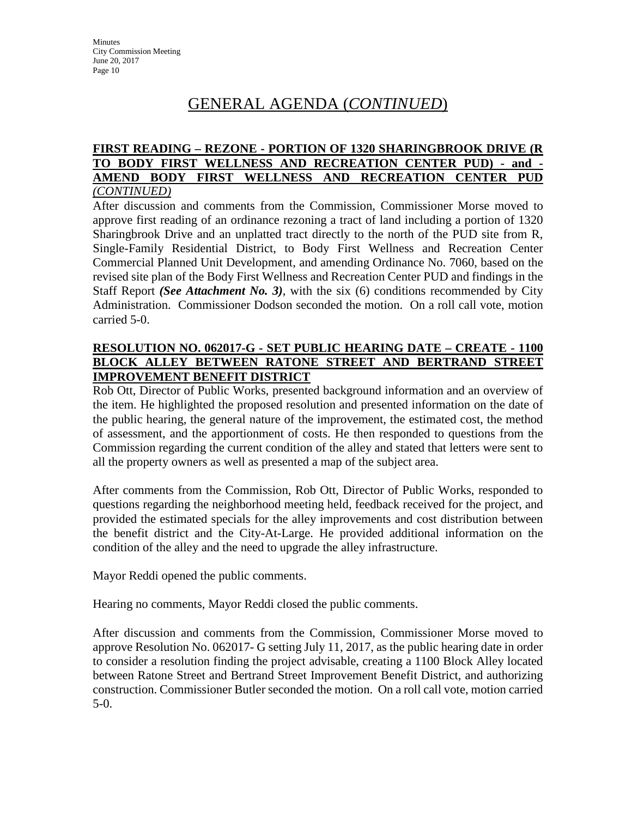# GENERAL AGENDA (*CONTINUED*)

#### **FIRST READING – REZONE - PORTION OF 1320 SHARINGBROOK DRIVE (R TO BODY FIRST WELLNESS AND RECREATION CENTER PUD) - and - AMEND BODY FIRST WELLNESS AND RECREATION CENTER PUD** *(CONTINUED)*

After discussion and comments from the Commission, Commissioner Morse moved to approve first reading of an ordinance rezoning a tract of land including a portion of 1320 Sharingbrook Drive and an unplatted tract directly to the north of the PUD site from R, Single-Family Residential District, to Body First Wellness and Recreation Center Commercial Planned Unit Development, and amending Ordinance No. 7060, based on the revised site plan of the Body First Wellness and Recreation Center PUD and findings in the Staff Report *(See Attachment No. 3)*, with the six (6) conditions recommended by City Administration. Commissioner Dodson seconded the motion. On a roll call vote, motion carried 5-0.

### **RESOLUTION NO. 062017-G - SET PUBLIC HEARING DATE – CREATE - 1100 BLOCK ALLEY BETWEEN RATONE STREET AND BERTRAND STREET IMPROVEMENT BENEFIT DISTRICT**

Rob Ott, Director of Public Works, presented background information and an overview of the item. He highlighted the proposed resolution and presented information on the date of the public hearing, the general nature of the improvement, the estimated cost, the method of assessment, and the apportionment of costs. He then responded to questions from the Commission regarding the current condition of the alley and stated that letters were sent to all the property owners as well as presented a map of the subject area.

After comments from the Commission, Rob Ott, Director of Public Works, responded to questions regarding the neighborhood meeting held, feedback received for the project, and provided the estimated specials for the alley improvements and cost distribution between the benefit district and the City-At-Large. He provided additional information on the condition of the alley and the need to upgrade the alley infrastructure.

Mayor Reddi opened the public comments.

Hearing no comments, Mayor Reddi closed the public comments.

After discussion and comments from the Commission, Commissioner Morse moved to approve Resolution No. 062017- G setting July 11, 2017, as the public hearing date in order to consider a resolution finding the project advisable, creating a 1100 Block Alley located between Ratone Street and Bertrand Street Improvement Benefit District, and authorizing construction. Commissioner Butler seconded the motion. On a roll call vote, motion carried 5-0.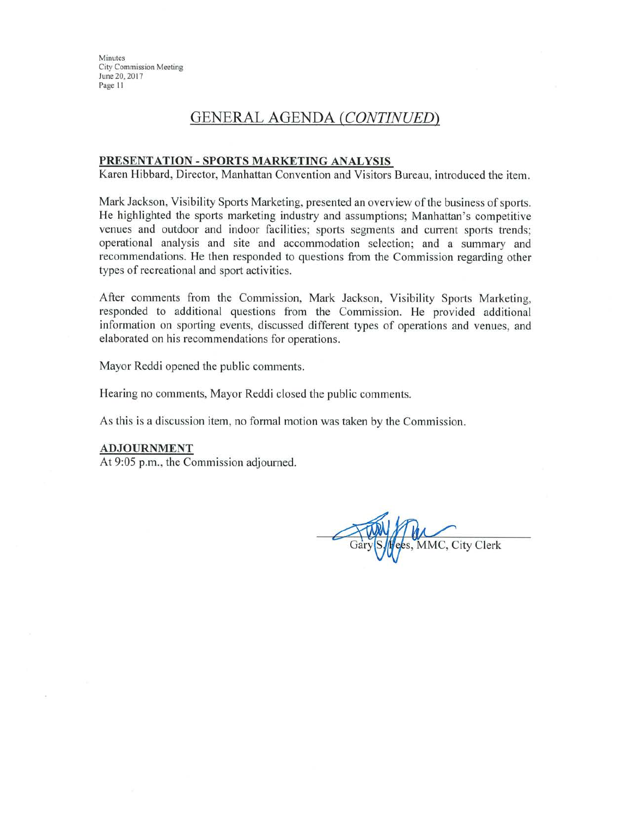## **GENERAL AGENDA (CONTINUED)**

#### PRESENTATION - SPORTS MARKETING ANALYSIS

Karen Hibbard, Director, Manhattan Convention and Visitors Bureau, introduced the item.

Mark Jackson, Visibility Sports Marketing, presented an overview of the business of sports. He highlighted the sports marketing industry and assumptions; Manhattan's competitive venues and outdoor and indoor facilities; sports segments and current sports trends; operational analysis and site and accommodation selection; and a summary and recommendations. He then responded to questions from the Commission regarding other types of recreational and sport activities.

After comments from the Commission, Mark Jackson, Visibility Sports Marketing, responded to additional questions from the Commission. He provided additional information on sporting events, discussed different types of operations and venues, and elaborated on his recommendations for operations.

Mayor Reddi opened the public comments.

Hearing no comments, Mayor Reddi closed the public comments.

As this is a discussion item, no formal motion was taken by the Commission.

#### **ADJOURNMENT**

At 9:05 p.m., the Commission adjourned.

MMC, City Clerk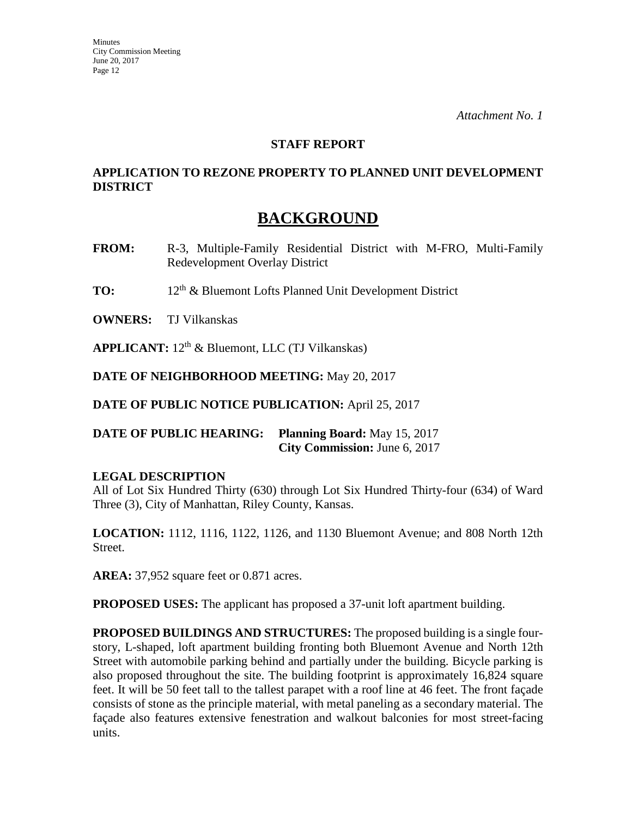#### **STAFF REPORT**

## **APPLICATION TO REZONE PROPERTY TO PLANNED UNIT DEVELOPMENT DISTRICT**

## **BACKGROUND**

- **FROM:** R-3, Multiple-Family Residential District with M-FRO, Multi-Family Redevelopment Overlay District
- **TO:** 12<sup>th</sup> & Bluemont Lofts Planned Unit Development District

**OWNERS:** TJ Vilkanskas

APPLICANT: 12<sup>th</sup> & Bluemont, LLC (TJ Vilkanskas)

**DATE OF NEIGHBORHOOD MEETING:** May 20, 2017

**DATE OF PUBLIC NOTICE PUBLICATION:** April 25, 2017

**DATE OF PUBLIC HEARING: Planning Board:** May 15, 2017 **City Commission:** June 6, 2017

## **LEGAL DESCRIPTION**

All of Lot Six Hundred Thirty (630) through Lot Six Hundred Thirty-four (634) of Ward Three (3), City of Manhattan, Riley County, Kansas.

**LOCATION:** 1112, 1116, 1122, 1126, and 1130 Bluemont Avenue; and 808 North 12th Street.

**AREA:** 37,952 square feet or 0.871 acres.

**PROPOSED USES:** The applicant has proposed a 37-unit loft apartment building.

**PROPOSED BUILDINGS AND STRUCTURES:** The proposed building is a single fourstory, L-shaped, loft apartment building fronting both Bluemont Avenue and North 12th Street with automobile parking behind and partially under the building. Bicycle parking is also proposed throughout the site. The building footprint is approximately 16,824 square feet. It will be 50 feet tall to the tallest parapet with a roof line at 46 feet. The front façade consists of stone as the principle material, with metal paneling as a secondary material. The façade also features extensive fenestration and walkout balconies for most street-facing units.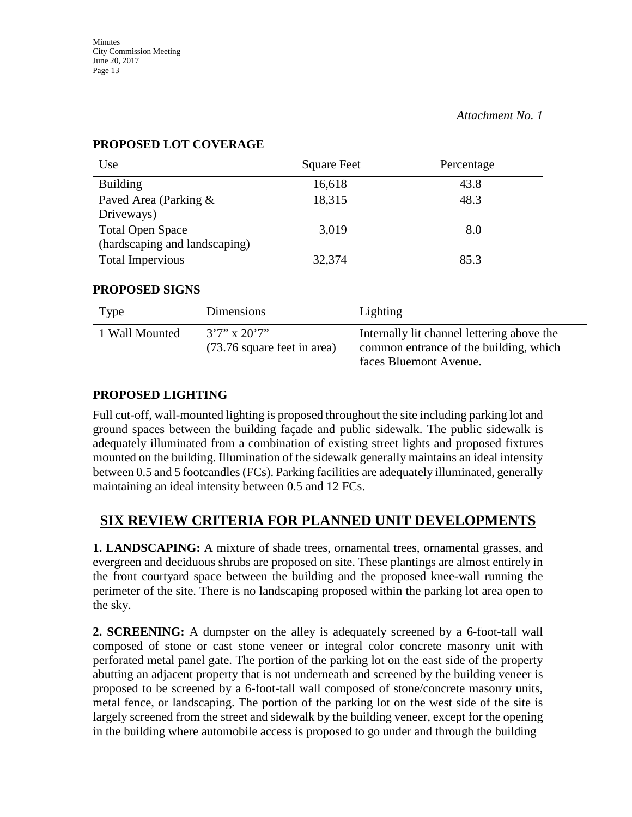| Use                           | <b>Square Feet</b> | Percentage |
|-------------------------------|--------------------|------------|
| <b>Building</b>               | 16,618             | 43.8       |
| Paved Area (Parking &         | 18,315             | 48.3       |
| Driveways)                    |                    |            |
| <b>Total Open Space</b>       | 3,019              | 8.0        |
| (hardscaping and landscaping) |                    |            |
| <b>Total Impervious</b>       | 32,374             | 85.3       |

### **PROPOSED LOT COVERAGE**

#### **PROPOSED SIGNS**

| Type           | <b>Dimensions</b>                                 | Lighting                                                                                                       |
|----------------|---------------------------------------------------|----------------------------------------------------------------------------------------------------------------|
| 1 Wall Mounted | $3'7''$ x $20'7''$<br>(73.76 square feet in area) | Internally lit channel lettering above the<br>common entrance of the building, which<br>faces Bluemont Avenue. |

## **PROPOSED LIGHTING**

Full cut-off, wall-mounted lighting is proposed throughout the site including parking lot and ground spaces between the building façade and public sidewalk. The public sidewalk is adequately illuminated from a combination of existing street lights and proposed fixtures mounted on the building. Illumination of the sidewalk generally maintains an ideal intensity between 0.5 and 5 footcandles (FCs). Parking facilities are adequately illuminated, generally maintaining an ideal intensity between 0.5 and 12 FCs.

## **SIX REVIEW CRITERIA FOR PLANNED UNIT DEVELOPMENTS**

**1. LANDSCAPING:** A mixture of shade trees, ornamental trees, ornamental grasses, and evergreen and deciduous shrubs are proposed on site. These plantings are almost entirely in the front courtyard space between the building and the proposed knee-wall running the perimeter of the site. There is no landscaping proposed within the parking lot area open to the sky.

**2. SCREENING:** A dumpster on the alley is adequately screened by a 6-foot-tall wall composed of stone or cast stone veneer or integral color concrete masonry unit with perforated metal panel gate. The portion of the parking lot on the east side of the property abutting an adjacent property that is not underneath and screened by the building veneer is proposed to be screened by a 6-foot-tall wall composed of stone/concrete masonry units, metal fence, or landscaping. The portion of the parking lot on the west side of the site is largely screened from the street and sidewalk by the building veneer, except for the opening in the building where automobile access is proposed to go under and through the building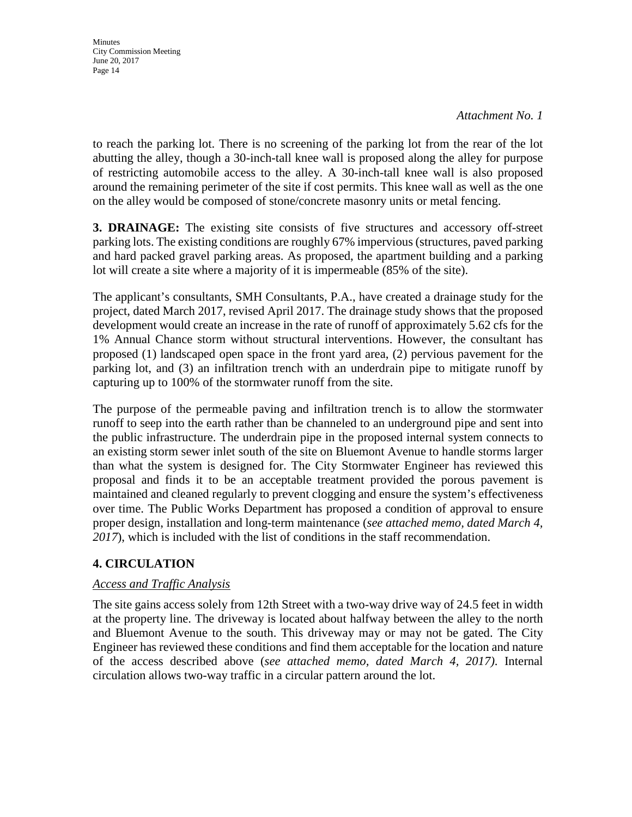*Attachment No. 1*

to reach the parking lot. There is no screening of the parking lot from the rear of the lot abutting the alley, though a 30-inch-tall knee wall is proposed along the alley for purpose of restricting automobile access to the alley. A 30-inch-tall knee wall is also proposed around the remaining perimeter of the site if cost permits. This knee wall as well as the one on the alley would be composed of stone/concrete masonry units or metal fencing.

**3. DRAINAGE:** The existing site consists of five structures and accessory off-street parking lots. The existing conditions are roughly 67% impervious (structures, paved parking and hard packed gravel parking areas. As proposed, the apartment building and a parking lot will create a site where a majority of it is impermeable (85% of the site).

The applicant's consultants, SMH Consultants, P.A., have created a drainage study for the project, dated March 2017, revised April 2017. The drainage study shows that the proposed development would create an increase in the rate of runoff of approximately 5.62 cfs for the 1% Annual Chance storm without structural interventions. However, the consultant has proposed (1) landscaped open space in the front yard area, (2) pervious pavement for the parking lot, and (3) an infiltration trench with an underdrain pipe to mitigate runoff by capturing up to 100% of the stormwater runoff from the site.

The purpose of the permeable paving and infiltration trench is to allow the stormwater runoff to seep into the earth rather than be channeled to an underground pipe and sent into the public infrastructure. The underdrain pipe in the proposed internal system connects to an existing storm sewer inlet south of the site on Bluemont Avenue to handle storms larger than what the system is designed for. The City Stormwater Engineer has reviewed this proposal and finds it to be an acceptable treatment provided the porous pavement is maintained and cleaned regularly to prevent clogging and ensure the system's effectiveness over time. The Public Works Department has proposed a condition of approval to ensure proper design, installation and long-term maintenance (*see attached memo, dated March 4, 2017*), which is included with the list of conditions in the staff recommendation.

## **4. CIRCULATION**

## *Access and Traffic Analysis*

The site gains access solely from 12th Street with a two-way drive way of 24.5 feet in width at the property line. The driveway is located about halfway between the alley to the north and Bluemont Avenue to the south. This driveway may or may not be gated. The City Engineer has reviewed these conditions and find them acceptable for the location and nature of the access described above (*see attached memo, dated March 4, 2017)*. Internal circulation allows two-way traffic in a circular pattern around the lot.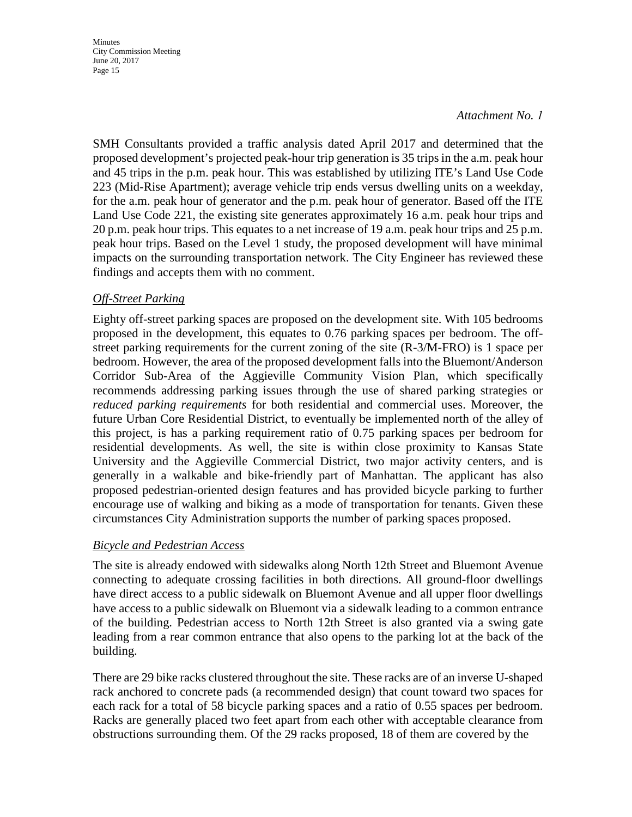#### *Attachment No. 1*

SMH Consultants provided a traffic analysis dated April 2017 and determined that the proposed development's projected peak-hour trip generation is 35 trips in the a.m. peak hour and 45 trips in the p.m. peak hour. This was established by utilizing ITE's Land Use Code 223 (Mid-Rise Apartment); average vehicle trip ends versus dwelling units on a weekday, for the a.m. peak hour of generator and the p.m. peak hour of generator. Based off the ITE Land Use Code 221, the existing site generates approximately 16 a.m. peak hour trips and 20 p.m. peak hour trips. This equates to a net increase of 19 a.m. peak hour trips and 25 p.m. peak hour trips. Based on the Level 1 study, the proposed development will have minimal impacts on the surrounding transportation network. The City Engineer has reviewed these findings and accepts them with no comment.

#### *Off-Street Parking*

Eighty off-street parking spaces are proposed on the development site. With 105 bedrooms proposed in the development, this equates to 0.76 parking spaces per bedroom. The offstreet parking requirements for the current zoning of the site (R-3/M-FRO) is 1 space per bedroom. However, the area of the proposed development falls into the Bluemont/Anderson Corridor Sub-Area of the Aggieville Community Vision Plan, which specifically recommends addressing parking issues through the use of shared parking strategies or *reduced parking requirements* for both residential and commercial uses. Moreover, the future Urban Core Residential District, to eventually be implemented north of the alley of this project, is has a parking requirement ratio of 0.75 parking spaces per bedroom for residential developments. As well, the site is within close proximity to Kansas State University and the Aggieville Commercial District, two major activity centers, and is generally in a walkable and bike-friendly part of Manhattan. The applicant has also proposed pedestrian-oriented design features and has provided bicycle parking to further encourage use of walking and biking as a mode of transportation for tenants. Given these circumstances City Administration supports the number of parking spaces proposed.

#### *Bicycle and Pedestrian Access*

The site is already endowed with sidewalks along North 12th Street and Bluemont Avenue connecting to adequate crossing facilities in both directions. All ground-floor dwellings have direct access to a public sidewalk on Bluemont Avenue and all upper floor dwellings have access to a public sidewalk on Bluemont via a sidewalk leading to a common entrance of the building. Pedestrian access to North 12th Street is also granted via a swing gate leading from a rear common entrance that also opens to the parking lot at the back of the building.

There are 29 bike racks clustered throughout the site. These racks are of an inverse U-shaped rack anchored to concrete pads (a recommended design) that count toward two spaces for each rack for a total of 58 bicycle parking spaces and a ratio of 0.55 spaces per bedroom. Racks are generally placed two feet apart from each other with acceptable clearance from obstructions surrounding them. Of the 29 racks proposed, 18 of them are covered by the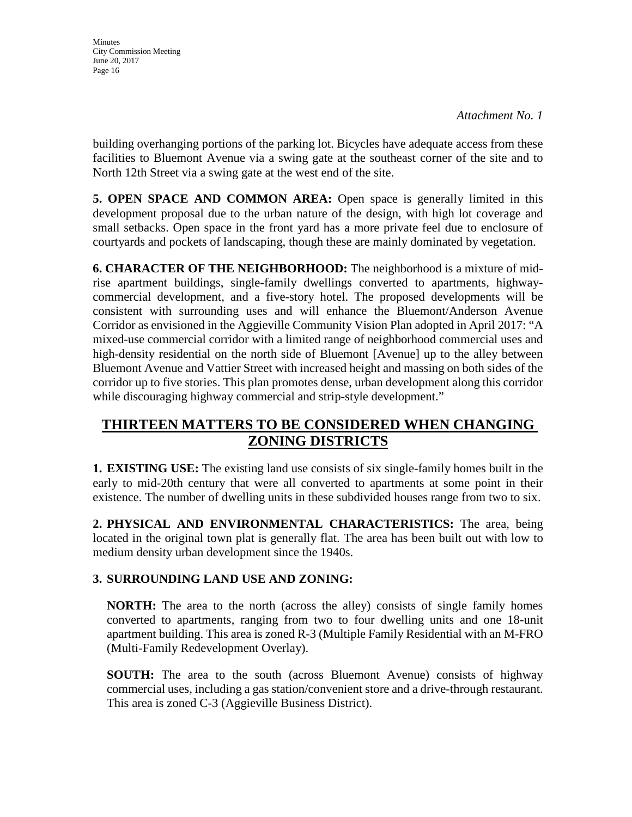building overhanging portions of the parking lot. Bicycles have adequate access from these facilities to Bluemont Avenue via a swing gate at the southeast corner of the site and to North 12th Street via a swing gate at the west end of the site.

**5. OPEN SPACE AND COMMON AREA:** Open space is generally limited in this development proposal due to the urban nature of the design, with high lot coverage and small setbacks. Open space in the front yard has a more private feel due to enclosure of courtyards and pockets of landscaping, though these are mainly dominated by vegetation.

**6. CHARACTER OF THE NEIGHBORHOOD:** The neighborhood is a mixture of midrise apartment buildings, single-family dwellings converted to apartments, highwaycommercial development, and a five-story hotel. The proposed developments will be consistent with surrounding uses and will enhance the Bluemont/Anderson Avenue Corridor as envisioned in the Aggieville Community Vision Plan adopted in April 2017: "A mixed-use commercial corridor with a limited range of neighborhood commercial uses and high-density residential on the north side of Bluemont [Avenue] up to the alley between Bluemont Avenue and Vattier Street with increased height and massing on both sides of the corridor up to five stories. This plan promotes dense, urban development along this corridor while discouraging highway commercial and strip-style development."

## **THIRTEEN MATTERS TO BE CONSIDERED WHEN CHANGING ZONING DISTRICTS**

**1. EXISTING USE:** The existing land use consists of six single-family homes built in the early to mid-20th century that were all converted to apartments at some point in their existence. The number of dwelling units in these subdivided houses range from two to six.

**2. PHYSICAL AND ENVIRONMENTAL CHARACTERISTICS:** The area, being located in the original town plat is generally flat. The area has been built out with low to medium density urban development since the 1940s.

## **3. SURROUNDING LAND USE AND ZONING:**

**NORTH:** The area to the north (across the alley) consists of single family homes converted to apartments, ranging from two to four dwelling units and one 18-unit apartment building. This area is zoned R-3 (Multiple Family Residential with an M-FRO (Multi-Family Redevelopment Overlay).

**SOUTH:** The area to the south (across Bluemont Avenue) consists of highway commercial uses, including a gas station/convenient store and a drive-through restaurant. This area is zoned C-3 (Aggieville Business District).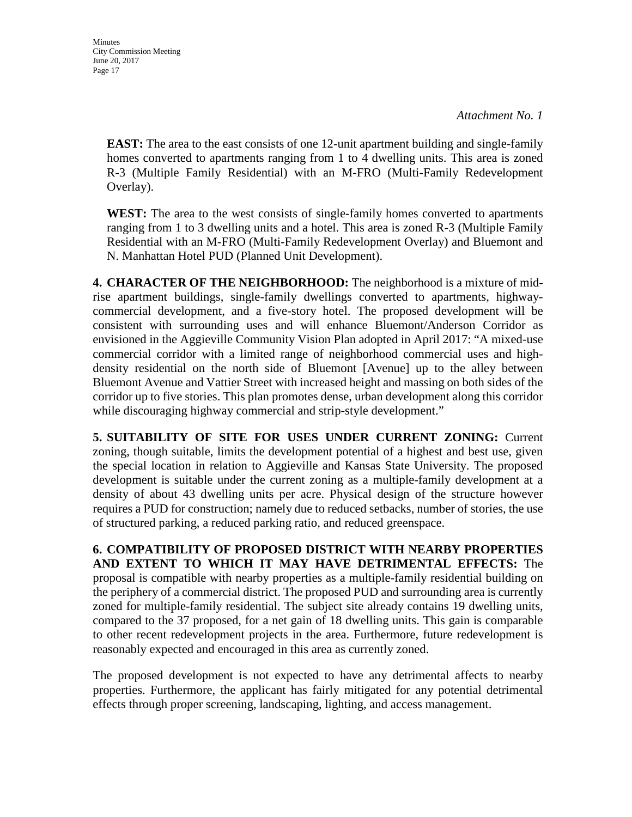*Attachment No. 1*

**EAST:** The area to the east consists of one 12-unit apartment building and single-family homes converted to apartments ranging from 1 to 4 dwelling units. This area is zoned R-3 (Multiple Family Residential) with an M-FRO (Multi-Family Redevelopment Overlay).

**WEST:** The area to the west consists of single-family homes converted to apartments ranging from 1 to 3 dwelling units and a hotel. This area is zoned R-3 (Multiple Family Residential with an M-FRO (Multi-Family Redevelopment Overlay) and Bluemont and N. Manhattan Hotel PUD (Planned Unit Development).

**4. CHARACTER OF THE NEIGHBORHOOD:** The neighborhood is a mixture of midrise apartment buildings, single-family dwellings converted to apartments, highwaycommercial development, and a five-story hotel. The proposed development will be consistent with surrounding uses and will enhance Bluemont/Anderson Corridor as envisioned in the Aggieville Community Vision Plan adopted in April 2017: "A mixed-use commercial corridor with a limited range of neighborhood commercial uses and highdensity residential on the north side of Bluemont [Avenue] up to the alley between Bluemont Avenue and Vattier Street with increased height and massing on both sides of the corridor up to five stories. This plan promotes dense, urban development along this corridor while discouraging highway commercial and strip-style development."

**5. SUITABILITY OF SITE FOR USES UNDER CURRENT ZONING:** Current zoning, though suitable, limits the development potential of a highest and best use, given the special location in relation to Aggieville and Kansas State University. The proposed development is suitable under the current zoning as a multiple-family development at a density of about 43 dwelling units per acre. Physical design of the structure however requires a PUD for construction; namely due to reduced setbacks, number of stories, the use of structured parking, a reduced parking ratio, and reduced greenspace.

**6. COMPATIBILITY OF PROPOSED DISTRICT WITH NEARBY PROPERTIES AND EXTENT TO WHICH IT MAY HAVE DETRIMENTAL EFFECTS:** The proposal is compatible with nearby properties as a multiple-family residential building on the periphery of a commercial district. The proposed PUD and surrounding area is currently zoned for multiple-family residential. The subject site already contains 19 dwelling units, compared to the 37 proposed, for a net gain of 18 dwelling units. This gain is comparable to other recent redevelopment projects in the area. Furthermore, future redevelopment is reasonably expected and encouraged in this area as currently zoned.

The proposed development is not expected to have any detrimental affects to nearby properties. Furthermore, the applicant has fairly mitigated for any potential detrimental effects through proper screening, landscaping, lighting, and access management.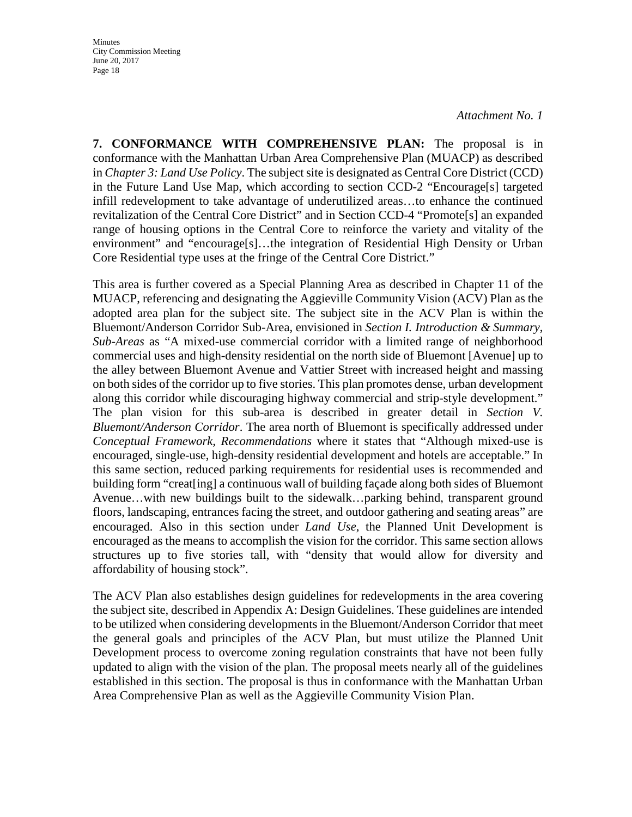*Attachment No. 1*

**7. CONFORMANCE WITH COMPREHENSIVE PLAN:** The proposal is in conformance with the Manhattan Urban Area Comprehensive Plan (MUACP) as described in *Chapter 3: Land Use Policy*. The subject site is designated as Central Core District (CCD) in the Future Land Use Map, which according to section CCD-2 "Encourage[s] targeted infill redevelopment to take advantage of underutilized areas…to enhance the continued revitalization of the Central Core District" and in Section CCD-4 "Promote[s] an expanded range of housing options in the Central Core to reinforce the variety and vitality of the environment" and "encourage[s]…the integration of Residential High Density or Urban Core Residential type uses at the fringe of the Central Core District."

This area is further covered as a Special Planning Area as described in Chapter 11 of the MUACP, referencing and designating the Aggieville Community Vision (ACV) Plan as the adopted area plan for the subject site. The subject site in the ACV Plan is within the Bluemont/Anderson Corridor Sub-Area, envisioned in *Section I. Introduction & Summary*, *Sub-Areas* as "A mixed-use commercial corridor with a limited range of neighborhood commercial uses and high-density residential on the north side of Bluemont [Avenue] up to the alley between Bluemont Avenue and Vattier Street with increased height and massing on both sides of the corridor up to five stories. This plan promotes dense, urban development along this corridor while discouraging highway commercial and strip-style development." The plan vision for this sub-area is described in greater detail in *Section V. Bluemont/Anderson Corridor*. The area north of Bluemont is specifically addressed under *Conceptual Framework, Recommendations* where it states that "Although mixed-use is encouraged, single-use, high-density residential development and hotels are acceptable." In this same section, reduced parking requirements for residential uses is recommended and building form "creat[ing] a continuous wall of building façade along both sides of Bluemont Avenue…with new buildings built to the sidewalk…parking behind, transparent ground floors, landscaping, entrances facing the street, and outdoor gathering and seating areas" are encouraged. Also in this section under *Land Use*, the Planned Unit Development is encouraged as the means to accomplish the vision for the corridor. This same section allows structures up to five stories tall, with "density that would allow for diversity and affordability of housing stock".

The ACV Plan also establishes design guidelines for redevelopments in the area covering the subject site, described in Appendix A: Design Guidelines. These guidelines are intended to be utilized when considering developments in the Bluemont/Anderson Corridor that meet the general goals and principles of the ACV Plan, but must utilize the Planned Unit Development process to overcome zoning regulation constraints that have not been fully updated to align with the vision of the plan. The proposal meets nearly all of the guidelines established in this section. The proposal is thus in conformance with the Manhattan Urban Area Comprehensive Plan as well as the Aggieville Community Vision Plan.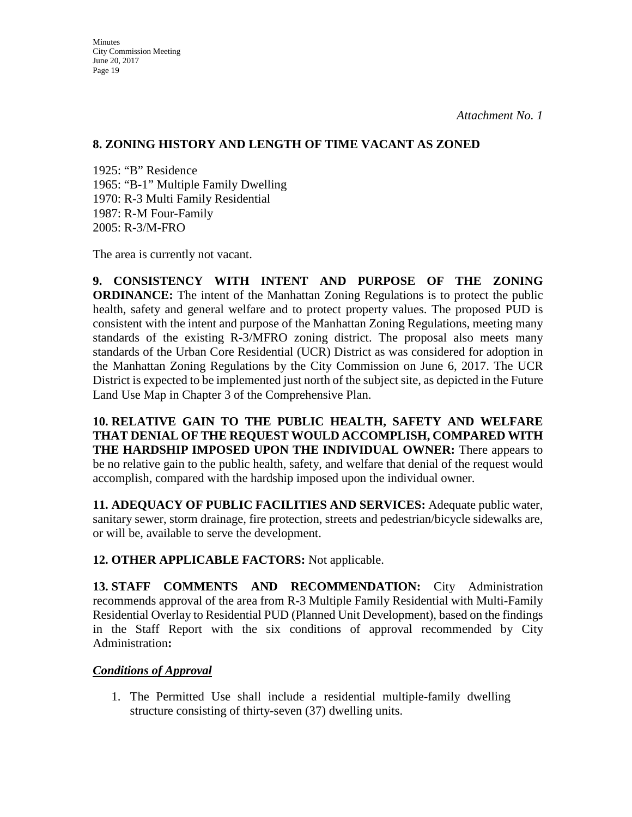### **8. ZONING HISTORY AND LENGTH OF TIME VACANT AS ZONED**

1925: "B" Residence 1965: "B-1" Multiple Family Dwelling 1970: R-3 Multi Family Residential 1987: R-M Four-Family 2005: R-3/M-FRO

The area is currently not vacant.

**9. CONSISTENCY WITH INTENT AND PURPOSE OF THE ZONING ORDINANCE:** The intent of the Manhattan Zoning Regulations is to protect the public health, safety and general welfare and to protect property values. The proposed PUD is consistent with the intent and purpose of the Manhattan Zoning Regulations, meeting many standards of the existing R-3/MFRO zoning district. The proposal also meets many standards of the Urban Core Residential (UCR) District as was considered for adoption in the Manhattan Zoning Regulations by the City Commission on June 6, 2017. The UCR District is expected to be implemented just north of the subject site, as depicted in the Future Land Use Map in Chapter 3 of the Comprehensive Plan.

**10. RELATIVE GAIN TO THE PUBLIC HEALTH, SAFETY AND WELFARE THAT DENIAL OF THE REQUEST WOULD ACCOMPLISH, COMPARED WITH THE HARDSHIP IMPOSED UPON THE INDIVIDUAL OWNER:** There appears to be no relative gain to the public health, safety, and welfare that denial of the request would accomplish, compared with the hardship imposed upon the individual owner.

**11. ADEQUACY OF PUBLIC FACILITIES AND SERVICES:** Adequate public water, sanitary sewer, storm drainage, fire protection, streets and pedestrian/bicycle sidewalks are, or will be, available to serve the development.

**12. OTHER APPLICABLE FACTORS:** Not applicable.

**13. STAFF COMMENTS AND RECOMMENDATION:** City Administration recommends approval of the area from R-3 Multiple Family Residential with Multi-Family Residential Overlay to Residential PUD (Planned Unit Development), based on the findings in the Staff Report with the six conditions of approval recommended by City Administration**:**

## *Conditions of Approval*

1. The Permitted Use shall include a residential multiple-family dwelling structure consisting of thirty-seven (37) dwelling units.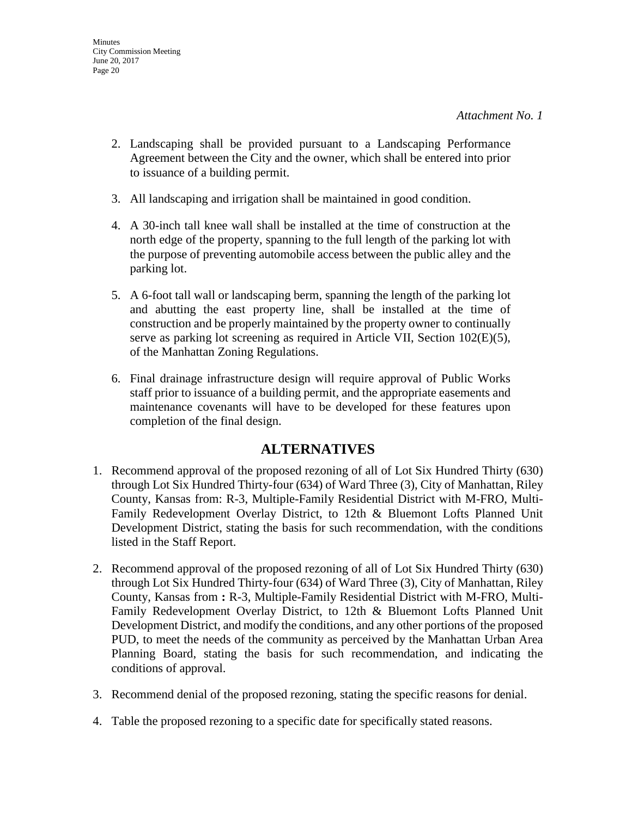- 2. Landscaping shall be provided pursuant to a Landscaping Performance Agreement between the City and the owner, which shall be entered into prior to issuance of a building permit.
- 3. All landscaping and irrigation shall be maintained in good condition.
- 4. A 30-inch tall knee wall shall be installed at the time of construction at the north edge of the property, spanning to the full length of the parking lot with the purpose of preventing automobile access between the public alley and the parking lot.
- 5. A 6-foot tall wall or landscaping berm, spanning the length of the parking lot and abutting the east property line, shall be installed at the time of construction and be properly maintained by the property owner to continually serve as parking lot screening as required in Article VII, Section 102(E)(5), of the Manhattan Zoning Regulations.
- 6. Final drainage infrastructure design will require approval of Public Works staff prior to issuance of a building permit, and the appropriate easements and maintenance covenants will have to be developed for these features upon completion of the final design.

## **ALTERNATIVES**

- 1. Recommend approval of the proposed rezoning of all of Lot Six Hundred Thirty (630) through Lot Six Hundred Thirty-four (634) of Ward Three (3), City of Manhattan, Riley County, Kansas from: R-3, Multiple-Family Residential District with M-FRO, Multi-Family Redevelopment Overlay District, to 12th & Bluemont Lofts Planned Unit Development District, stating the basis for such recommendation, with the conditions listed in the Staff Report.
- 2. Recommend approval of the proposed rezoning of all of Lot Six Hundred Thirty (630) through Lot Six Hundred Thirty-four (634) of Ward Three (3), City of Manhattan, Riley County, Kansas from **:** R-3, Multiple-Family Residential District with M-FRO, Multi-Family Redevelopment Overlay District, to 12th & Bluemont Lofts Planned Unit Development District, and modify the conditions, and any other portions of the proposed PUD, to meet the needs of the community as perceived by the Manhattan Urban Area Planning Board, stating the basis for such recommendation, and indicating the conditions of approval.
- 3. Recommend denial of the proposed rezoning, stating the specific reasons for denial.
- 4. Table the proposed rezoning to a specific date for specifically stated reasons.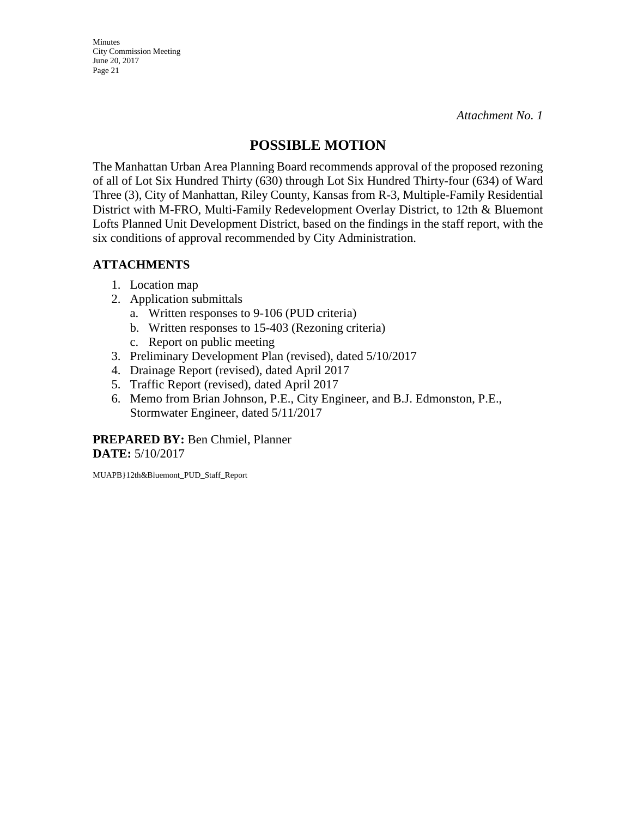**Minutes** City Commission Meeting June 20, 2017 Page 21

## **POSSIBLE MOTION**

The Manhattan Urban Area Planning Board recommends approval of the proposed rezoning of all of Lot Six Hundred Thirty (630) through Lot Six Hundred Thirty-four (634) of Ward Three (3), City of Manhattan, Riley County, Kansas from R-3, Multiple-Family Residential District with M-FRO, Multi-Family Redevelopment Overlay District, to 12th & Bluemont Lofts Planned Unit Development District, based on the findings in the staff report, with the six conditions of approval recommended by City Administration.

## **ATTACHMENTS**

- 1. Location map
- 2. Application submittals
	- a. Written responses to 9-106 (PUD criteria)
	- b. Written responses to 15-403 (Rezoning criteria)
	- c. Report on public meeting
- 3. Preliminary Development Plan (revised), dated 5/10/2017
- 4. Drainage Report (revised), dated April 2017
- 5. Traffic Report (revised), dated April 2017
- 6. Memo from Brian Johnson, P.E., City Engineer, and B.J. Edmonston, P.E., Stormwater Engineer, dated 5/11/2017

**PREPARED BY:** Ben Chmiel, Planner **DATE:** 5/10/2017

MUAPB}12th&Bluemont\_PUD\_Staff\_Report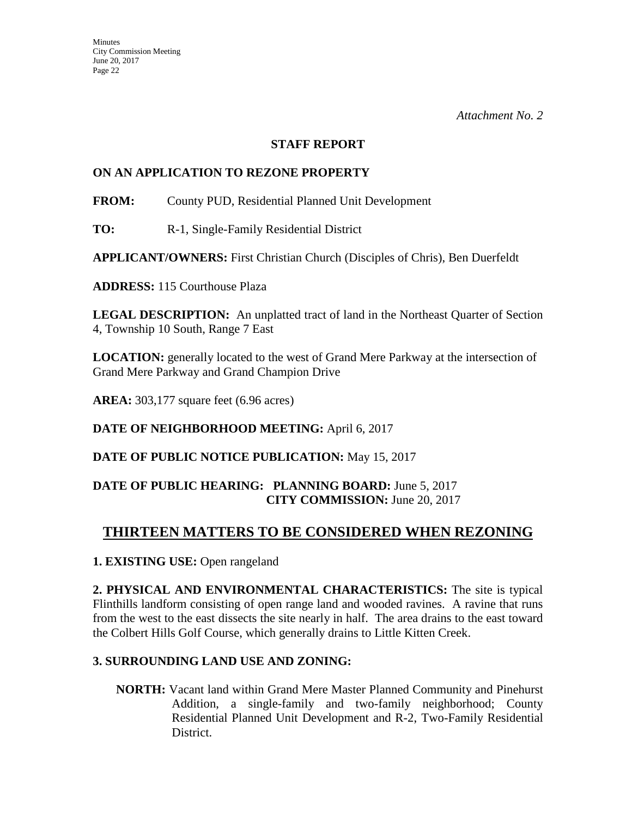#### **STAFF REPORT**

## **ON AN APPLICATION TO REZONE PROPERTY**

**FROM:** County PUD, Residential Planned Unit Development

**TO:** R-1, Single-Family Residential District

**APPLICANT/OWNERS:** First Christian Church (Disciples of Chris), Ben Duerfeldt

**ADDRESS:** 115 Courthouse Plaza

**LEGAL DESCRIPTION:** An unplatted tract of land in the Northeast Quarter of Section 4, Township 10 South, Range 7 East

**LOCATION:** generally located to the west of Grand Mere Parkway at the intersection of Grand Mere Parkway and Grand Champion Drive

**AREA:** 303,177 square feet (6.96 acres)

**DATE OF NEIGHBORHOOD MEETING:** April 6, 2017

**DATE OF PUBLIC NOTICE PUBLICATION:** May 15, 2017

## **DATE OF PUBLIC HEARING: PLANNING BOARD:** June 5, 2017 **CITY COMMISSION:** June 20, 2017

## **THIRTEEN MATTERS TO BE CONSIDERED WHEN REZONING**

## **1. EXISTING USE:** Open rangeland

**2. PHYSICAL AND ENVIRONMENTAL CHARACTERISTICS:** The site is typical Flinthills landform consisting of open range land and wooded ravines. A ravine that runs from the west to the east dissects the site nearly in half. The area drains to the east toward the Colbert Hills Golf Course, which generally drains to Little Kitten Creek.

## **3. SURROUNDING LAND USE AND ZONING:**

**NORTH:** Vacant land within Grand Mere Master Planned Community and Pinehurst Addition, a single-family and two-family neighborhood; County Residential Planned Unit Development and R-2, Two-Family Residential District.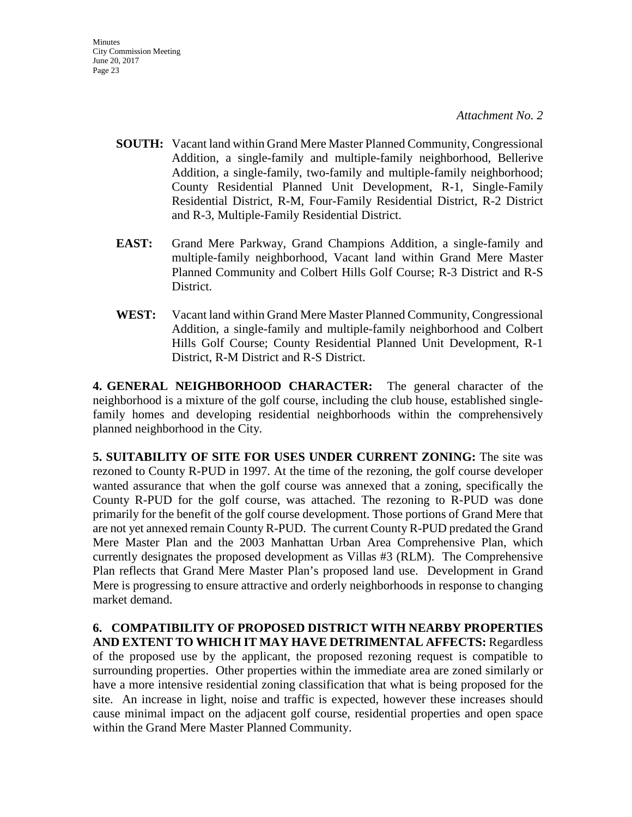- **SOUTH:** Vacant land within Grand Mere Master Planned Community, Congressional Addition, a single-family and multiple-family neighborhood, Bellerive Addition, a single-family, two-family and multiple-family neighborhood; County Residential Planned Unit Development, R-1, Single-Family Residential District, R-M, Four-Family Residential District, R-2 District and R-3, Multiple-Family Residential District.
- **EAST:** Grand Mere Parkway, Grand Champions Addition, a single-family and multiple-family neighborhood, Vacant land within Grand Mere Master Planned Community and Colbert Hills Golf Course; R-3 District and R-S District.
- **WEST:** Vacant land within Grand Mere Master Planned Community, Congressional Addition, a single-family and multiple-family neighborhood and Colbert Hills Golf Course; County Residential Planned Unit Development, R-1 District, R-M District and R-S District.

**4. GENERAL NEIGHBORHOOD CHARACTER:** The general character of the neighborhood is a mixture of the golf course, including the club house, established singlefamily homes and developing residential neighborhoods within the comprehensively planned neighborhood in the City.

**5. SUITABILITY OF SITE FOR USES UNDER CURRENT ZONING:** The site was rezoned to County R-PUD in 1997. At the time of the rezoning, the golf course developer wanted assurance that when the golf course was annexed that a zoning, specifically the County R-PUD for the golf course, was attached. The rezoning to R-PUD was done primarily for the benefit of the golf course development. Those portions of Grand Mere that are not yet annexed remain County R-PUD. The current County R-PUD predated the Grand Mere Master Plan and the 2003 Manhattan Urban Area Comprehensive Plan, which currently designates the proposed development as Villas #3 (RLM). The Comprehensive Plan reflects that Grand Mere Master Plan's proposed land use. Development in Grand Mere is progressing to ensure attractive and orderly neighborhoods in response to changing market demand.

**6. COMPATIBILITY OF PROPOSED DISTRICT WITH NEARBY PROPERTIES AND EXTENT TO WHICH IT MAY HAVE DETRIMENTAL AFFECTS:** Regardless of the proposed use by the applicant, the proposed rezoning request is compatible to surrounding properties. Other properties within the immediate area are zoned similarly or have a more intensive residential zoning classification that what is being proposed for the site. An increase in light, noise and traffic is expected, however these increases should cause minimal impact on the adjacent golf course, residential properties and open space within the Grand Mere Master Planned Community.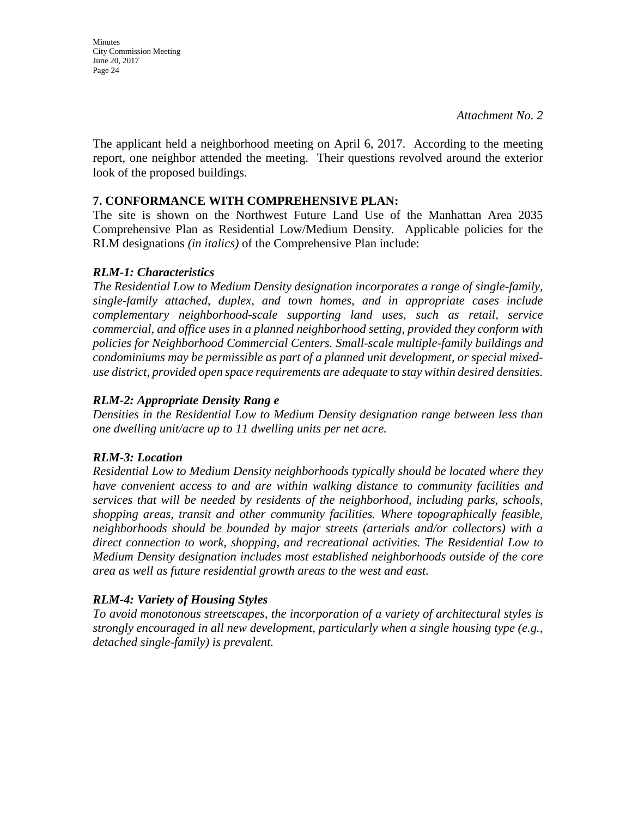*Attachment No. 2*

The applicant held a neighborhood meeting on April 6, 2017. According to the meeting report, one neighbor attended the meeting. Their questions revolved around the exterior look of the proposed buildings.

#### **7. CONFORMANCE WITH COMPREHENSIVE PLAN:**

The site is shown on the Northwest Future Land Use of the Manhattan Area 2035 Comprehensive Plan as Residential Low/Medium Density. Applicable policies for the RLM designations *(in italics)* of the Comprehensive Plan include:

#### *RLM-1: Characteristics*

*The Residential Low to Medium Density designation incorporates a range of single-family, single-family attached, duplex, and town homes, and in appropriate cases include complementary neighborhood-scale supporting land uses, such as retail, service commercial, and office uses in a planned neighborhood setting, provided they conform with policies for Neighborhood Commercial Centers. Small-scale multiple-family buildings and condominiums may be permissible as part of a planned unit development, or special mixeduse district, provided open space requirements are adequate to stay within desired densities.*

## *RLM-2: Appropriate Density Rang e*

*Densities in the Residential Low to Medium Density designation range between less than one dwelling unit/acre up to 11 dwelling units per net acre.* 

## *RLM-3: Location*

*Residential Low to Medium Density neighborhoods typically should be located where they have convenient access to and are within walking distance to community facilities and services that will be needed by residents of the neighborhood, including parks, schools, shopping areas, transit and other community facilities. Where topographically feasible, neighborhoods should be bounded by major streets (arterials and/or collectors) with a direct connection to work, shopping, and recreational activities. The Residential Low to Medium Density designation includes most established neighborhoods outside of the core area as well as future residential growth areas to the west and east.* 

## *RLM-4: Variety of Housing Styles*

*To avoid monotonous streetscapes, the incorporation of a variety of architectural styles is strongly encouraged in all new development, particularly when a single housing type (e.g., detached single-family) is prevalent.*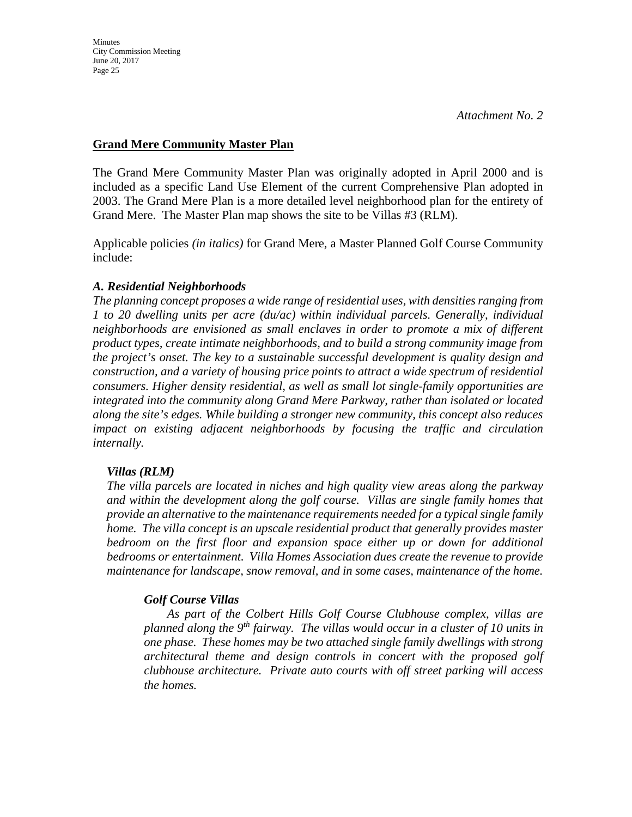## **Grand Mere Community Master Plan**

The Grand Mere Community Master Plan was originally adopted in April 2000 and is included as a specific Land Use Element of the current Comprehensive Plan adopted in 2003. The Grand Mere Plan is a more detailed level neighborhood plan for the entirety of Grand Mere. The Master Plan map shows the site to be Villas #3 (RLM).

Applicable policies *(in italics)* for Grand Mere, a Master Planned Golf Course Community include:

## *A. Residential Neighborhoods*

*The planning concept proposes a wide range of residential uses, with densities ranging from 1 to 20 dwelling units per acre (du/ac) within individual parcels. Generally, individual neighborhoods are envisioned as small enclaves in order to promote a mix of different product types, create intimate neighborhoods, and to build a strong community image from the project's onset. The key to a sustainable successful development is quality design and construction, and a variety of housing price points to attract a wide spectrum of residential consumers. Higher density residential, as well as small lot single-family opportunities are integrated into the community along Grand Mere Parkway, rather than isolated or located along the site's edges. While building a stronger new community, this concept also reduces impact on existing adjacent neighborhoods by focusing the traffic and circulation internally.*

## *Villas (RLM)*

*The villa parcels are located in niches and high quality view areas along the parkway and within the development along the golf course. Villas are single family homes that provide an alternative to the maintenance requirements needed for a typical single family home. The villa concept is an upscale residential product that generally provides master bedroom on the first floor and expansion space either up or down for additional bedrooms or entertainment. Villa Homes Association dues create the revenue to provide maintenance for landscape, snow removal, and in some cases, maintenance of the home.*

## *Golf Course Villas*

*As part of the Colbert Hills Golf Course Clubhouse complex, villas are planned along the 9th fairway. The villas would occur in a cluster of 10 units in one phase. These homes may be two attached single family dwellings with strong architectural theme and design controls in concert with the proposed golf clubhouse architecture. Private auto courts with off street parking will access the homes.*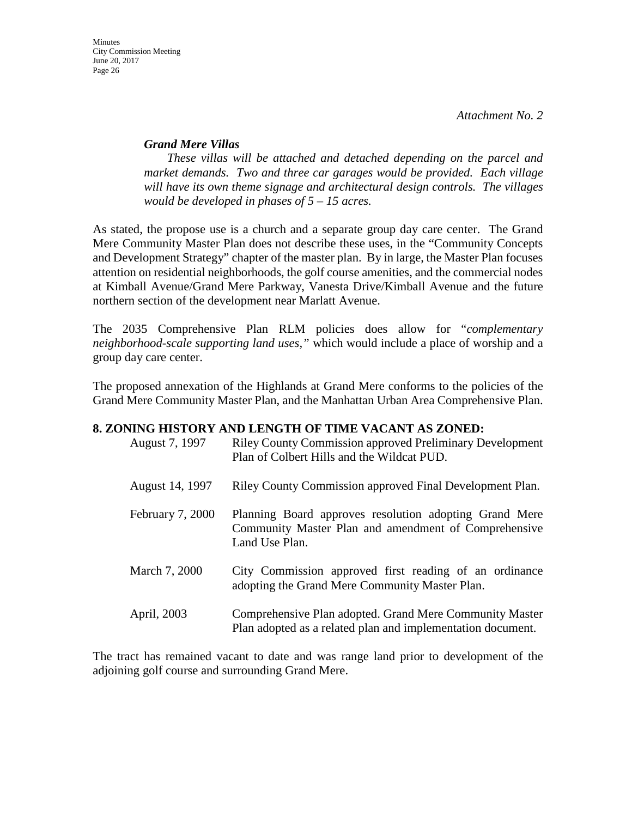#### *Grand Mere Villas*

*These villas will be attached and detached depending on the parcel and market demands. Two and three car garages would be provided. Each village will have its own theme signage and architectural design controls. The villages would be developed in phases of 5 – 15 acres.* 

As stated, the propose use is a church and a separate group day care center. The Grand Mere Community Master Plan does not describe these uses, in the "Community Concepts and Development Strategy" chapter of the master plan. By in large, the Master Plan focuses attention on residential neighborhoods, the golf course amenities, and the commercial nodes at Kimball Avenue/Grand Mere Parkway, Vanesta Drive/Kimball Avenue and the future northern section of the development near Marlatt Avenue.

The 2035 Comprehensive Plan RLM policies does allow for "*complementary neighborhood-scale supporting land uses,"* which would include a place of worship and a group day care center.

The proposed annexation of the Highlands at Grand Mere conforms to the policies of the Grand Mere Community Master Plan, and the Manhattan Urban Area Comprehensive Plan.

#### **8. ZONING HISTORY AND LENGTH OF TIME VACANT AS ZONED:**

| August 7, 1997   | <b>Riley County Commission approved Preliminary Development</b><br>Plan of Colbert Hills and the Wildcat PUD.                    |
|------------------|----------------------------------------------------------------------------------------------------------------------------------|
| August 14, 1997  | Riley County Commission approved Final Development Plan.                                                                         |
| February 7, 2000 | Planning Board approves resolution adopting Grand Mere<br>Community Master Plan and amendment of Comprehensive<br>Land Use Plan. |
| March 7, 2000    | City Commission approved first reading of an ordinance<br>adopting the Grand Mere Community Master Plan.                         |
| April, 2003      | Comprehensive Plan adopted. Grand Mere Community Master<br>Plan adopted as a related plan and implementation document.           |

The tract has remained vacant to date and was range land prior to development of the adjoining golf course and surrounding Grand Mere.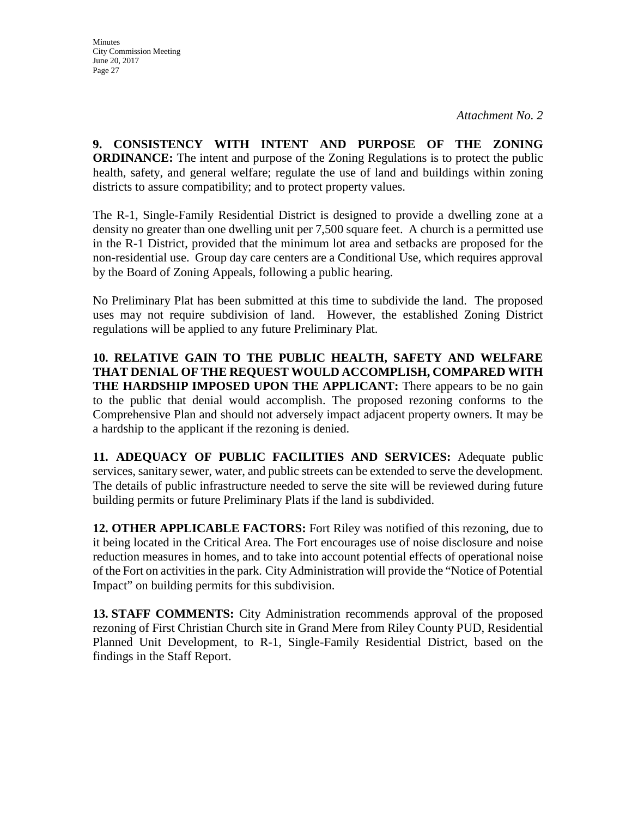**9. CONSISTENCY WITH INTENT AND PURPOSE OF THE ZONING ORDINANCE:** The intent and purpose of the Zoning Regulations is to protect the public health, safety, and general welfare; regulate the use of land and buildings within zoning districts to assure compatibility; and to protect property values.

The R-1, Single-Family Residential District is designed to provide a dwelling zone at a density no greater than one dwelling unit per 7,500 square feet. A church is a permitted use in the R-1 District, provided that the minimum lot area and setbacks are proposed for the non-residential use. Group day care centers are a Conditional Use, which requires approval by the Board of Zoning Appeals, following a public hearing.

No Preliminary Plat has been submitted at this time to subdivide the land. The proposed uses may not require subdivision of land. However, the established Zoning District regulations will be applied to any future Preliminary Plat.

**10. RELATIVE GAIN TO THE PUBLIC HEALTH, SAFETY AND WELFARE THAT DENIAL OF THE REQUEST WOULD ACCOMPLISH, COMPARED WITH THE HARDSHIP IMPOSED UPON THE APPLICANT:** There appears to be no gain to the public that denial would accomplish. The proposed rezoning conforms to the Comprehensive Plan and should not adversely impact adjacent property owners. It may be a hardship to the applicant if the rezoning is denied.

**11. ADEQUACY OF PUBLIC FACILITIES AND SERVICES:** Adequate public services, sanitary sewer, water, and public streets can be extended to serve the development. The details of public infrastructure needed to serve the site will be reviewed during future building permits or future Preliminary Plats if the land is subdivided.

**12. OTHER APPLICABLE FACTORS:** Fort Riley was notified of this rezoning, due to it being located in the Critical Area. The Fort encourages use of noise disclosure and noise reduction measures in homes, and to take into account potential effects of operational noise of the Fort on activities in the park. City Administration will provide the "Notice of Potential Impact" on building permits for this subdivision.

**13. STAFF COMMENTS:** City Administration recommends approval of the proposed rezoning of First Christian Church site in Grand Mere from Riley County PUD, Residential Planned Unit Development, to R-1, Single-Family Residential District, based on the findings in the Staff Report.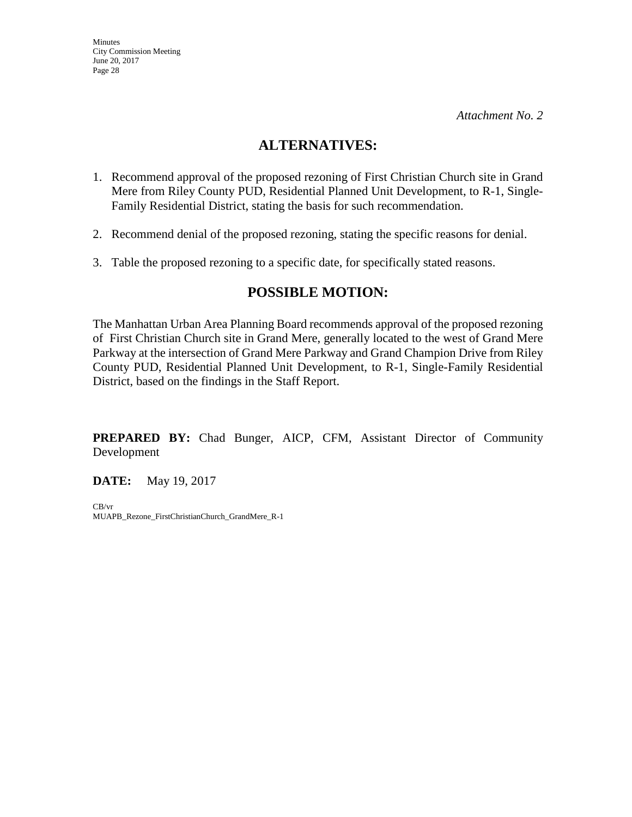## **ALTERNATIVES:**

- 1. Recommend approval of the proposed rezoning of First Christian Church site in Grand Mere from Riley County PUD, Residential Planned Unit Development, to R-1, Single-Family Residential District, stating the basis for such recommendation.
- 2. Recommend denial of the proposed rezoning, stating the specific reasons for denial.
- 3. Table the proposed rezoning to a specific date, for specifically stated reasons.

## **POSSIBLE MOTION:**

The Manhattan Urban Area Planning Board recommends approval of the proposed rezoning of First Christian Church site in Grand Mere, generally located to the west of Grand Mere Parkway at the intersection of Grand Mere Parkway and Grand Champion Drive from Riley County PUD, Residential Planned Unit Development, to R-1, Single-Family Residential District, based on the findings in the Staff Report.

**PREPARED BY:** Chad Bunger, AICP, CFM, Assistant Director of Community Development

**DATE:** May 19, 2017

CB/vr MUAPB\_Rezone\_FirstChristianChurch\_GrandMere\_R-1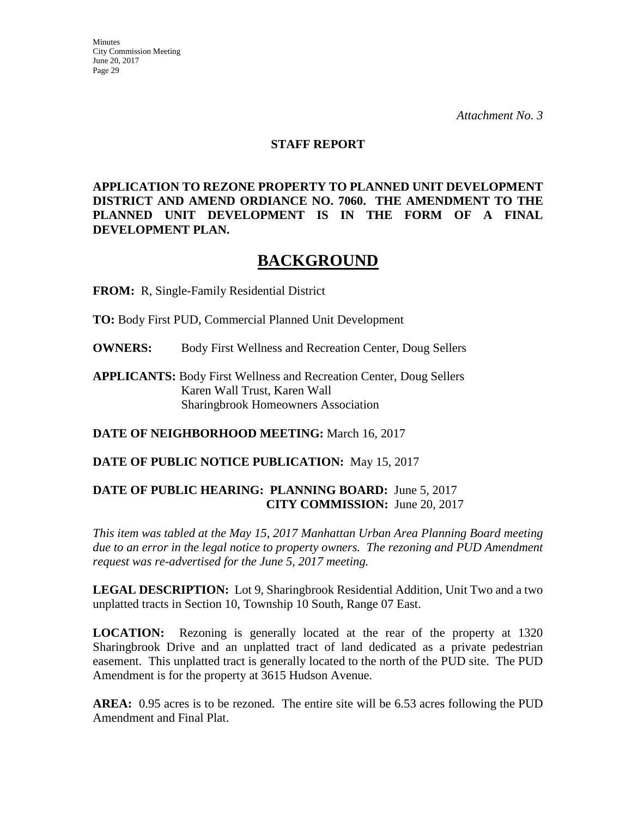#### **STAFF REPORT**

**APPLICATION TO REZONE PROPERTY TO PLANNED UNIT DEVELOPMENT DISTRICT AND AMEND ORDIANCE NO. 7060. THE AMENDMENT TO THE PLANNED UNIT DEVELOPMENT IS IN THE FORM OF A FINAL DEVELOPMENT PLAN.**

# **BACKGROUND**

**FROM:** R, Single-Family Residential District

**TO:** Body First PUD, Commercial Planned Unit Development

**OWNERS:** Body First Wellness and Recreation Center, Doug Sellers

**APPLICANTS:** Body First Wellness and Recreation Center, Doug Sellers Karen Wall Trust, Karen Wall Sharingbrook Homeowners Association

**DATE OF NEIGHBORHOOD MEETING:** March 16, 2017

**DATE OF PUBLIC NOTICE PUBLICATION:** May 15, 2017

## **DATE OF PUBLIC HEARING: PLANNING BOARD:** June 5, 2017 **CITY COMMISSION:** June 20, 2017

*This item was tabled at the May 15, 2017 Manhattan Urban Area Planning Board meeting due to an error in the legal notice to property owners. The rezoning and PUD Amendment request was re-advertised for the June 5, 2017 meeting.* 

**LEGAL DESCRIPTION:** Lot 9, Sharingbrook Residential Addition, Unit Two and a two unplatted tracts in Section 10, Township 10 South, Range 07 East.

**LOCATION:** Rezoning is generally located at the rear of the property at 1320 Sharingbrook Drive and an unplatted tract of land dedicated as a private pedestrian easement. This unplatted tract is generally located to the north of the PUD site. The PUD Amendment is for the property at 3615 Hudson Avenue.

**AREA:** 0.95 acres is to be rezoned. The entire site will be 6.53 acres following the PUD Amendment and Final Plat.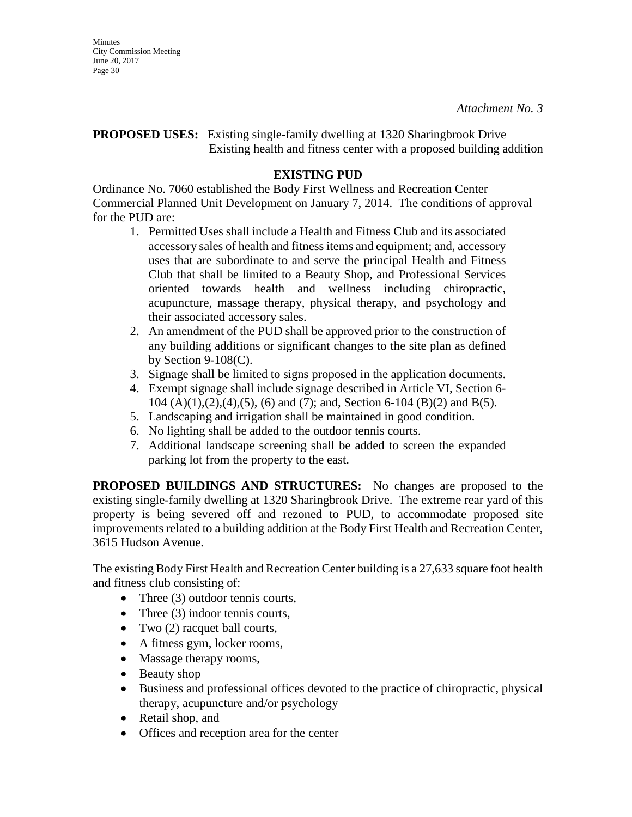### **PROPOSED USES:** Existing single-family dwelling at 1320 Sharingbrook Drive Existing health and fitness center with a proposed building addition

## **EXISTING PUD**

Ordinance No. 7060 established the Body First Wellness and Recreation Center Commercial Planned Unit Development on January 7, 2014. The conditions of approval for the PUD are:

- 1. Permitted Uses shall include a Health and Fitness Club and its associated accessory sales of health and fitness items and equipment; and, accessory uses that are subordinate to and serve the principal Health and Fitness Club that shall be limited to a Beauty Shop, and Professional Services oriented towards health and wellness including chiropractic, acupuncture, massage therapy, physical therapy, and psychology and their associated accessory sales.
- 2. An amendment of the PUD shall be approved prior to the construction of any building additions or significant changes to the site plan as defined by Section  $9-108(C)$ .
- 3. Signage shall be limited to signs proposed in the application documents.
- 4. Exempt signage shall include signage described in Article VI, Section 6- 104 (A)(1),(2),(4),(5), (6) and (7); and, Section 6-104 (B)(2) and B(5).
- 5. Landscaping and irrigation shall be maintained in good condition.
- 6. No lighting shall be added to the outdoor tennis courts.
- 7. Additional landscape screening shall be added to screen the expanded parking lot from the property to the east.

**PROPOSED BUILDINGS AND STRUCTURES:** No changes are proposed to the existing single-family dwelling at 1320 Sharingbrook Drive. The extreme rear yard of this property is being severed off and rezoned to PUD, to accommodate proposed site improvements related to a building addition at the Body First Health and Recreation Center, 3615 Hudson Avenue.

The existing Body First Health and Recreation Center building is a 27,633 square foot health and fitness club consisting of:

- Three (3) outdoor tennis courts,
- Three (3) indoor tennis courts,
- Two  $(2)$  racquet ball courts,
- A fitness gym, locker rooms,
- Massage therapy rooms,
- Beauty shop
- Business and professional offices devoted to the practice of chiropractic, physical therapy, acupuncture and/or psychology
- Retail shop, and
- Offices and reception area for the center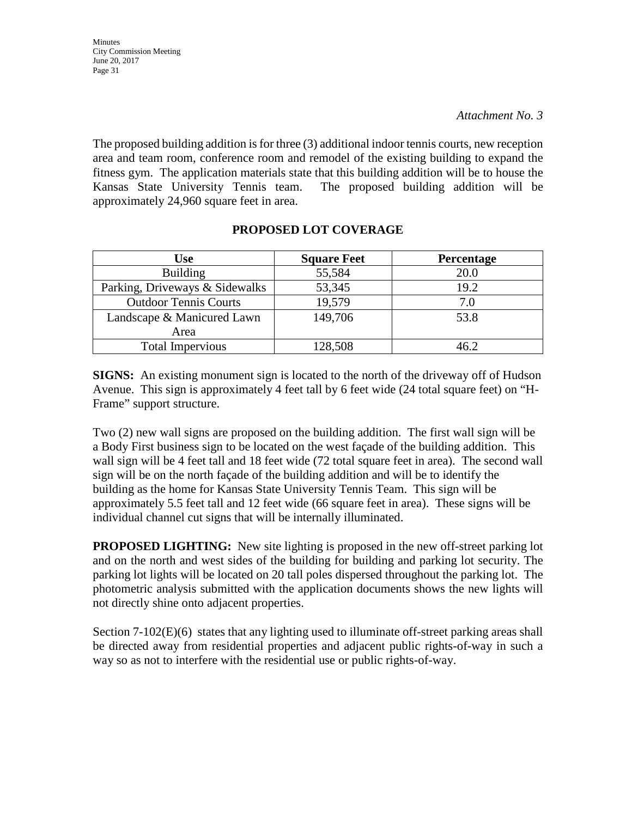The proposed building addition is for three (3) additional indoor tennis courts, new reception area and team room, conference room and remodel of the existing building to expand the fitness gym. The application materials state that this building addition will be to house the Kansas State University Tennis team. The proposed building addition will be approximately 24,960 square feet in area.

| <b>Use</b>                     | <b>Square Feet</b> | Percentage |
|--------------------------------|--------------------|------------|
| <b>Building</b>                | 55,584             | 20.0       |
| Parking, Driveways & Sidewalks | 53,345             | 19.2       |
| <b>Outdoor Tennis Courts</b>   | 19,579             | 7.0        |
| Landscape & Manicured Lawn     | 149,706            | 53.8       |
| Area                           |                    |            |
| <b>Total Impervious</b>        | 128,508            | 46.2       |

## **PROPOSED LOT COVERAGE**

**SIGNS:** An existing monument sign is located to the north of the driveway off of Hudson Avenue. This sign is approximately 4 feet tall by 6 feet wide (24 total square feet) on "H-Frame" support structure.

Two (2) new wall signs are proposed on the building addition. The first wall sign will be a Body First business sign to be located on the west façade of the building addition. This wall sign will be 4 feet tall and 18 feet wide (72 total square feet in area). The second wall sign will be on the north façade of the building addition and will be to identify the building as the home for Kansas State University Tennis Team. This sign will be approximately 5.5 feet tall and 12 feet wide (66 square feet in area). These signs will be individual channel cut signs that will be internally illuminated.

**PROPOSED LIGHTING:** New site lighting is proposed in the new off-street parking lot and on the north and west sides of the building for building and parking lot security. The parking lot lights will be located on 20 tall poles dispersed throughout the parking lot. The photometric analysis submitted with the application documents shows the new lights will not directly shine onto adjacent properties.

Section  $7-102(E)(6)$  states that any lighting used to illuminate off-street parking areas shall be directed away from residential properties and adjacent public rights-of-way in such a way so as not to interfere with the residential use or public rights-of-way.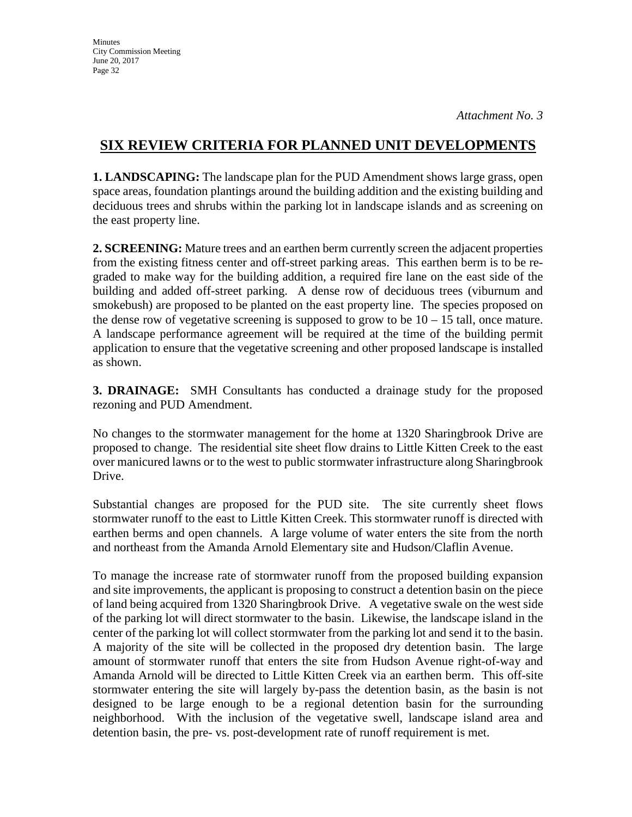## **SIX REVIEW CRITERIA FOR PLANNED UNIT DEVELOPMENTS**

**1. LANDSCAPING:** The landscape plan for the PUD Amendment shows large grass, open space areas, foundation plantings around the building addition and the existing building and deciduous trees and shrubs within the parking lot in landscape islands and as screening on the east property line.

**2. SCREENING:** Mature trees and an earthen berm currently screen the adjacent properties from the existing fitness center and off-street parking areas. This earthen berm is to be regraded to make way for the building addition, a required fire lane on the east side of the building and added off-street parking. A dense row of deciduous trees (viburnum and smokebush) are proposed to be planted on the east property line. The species proposed on the dense row of vegetative screening is supposed to grow to be  $10 - 15$  tall, once mature. A landscape performance agreement will be required at the time of the building permit application to ensure that the vegetative screening and other proposed landscape is installed as shown.

**3. DRAINAGE:** SMH Consultants has conducted a drainage study for the proposed rezoning and PUD Amendment.

No changes to the stormwater management for the home at 1320 Sharingbrook Drive are proposed to change. The residential site sheet flow drains to Little Kitten Creek to the east over manicured lawns or to the west to public stormwater infrastructure along Sharingbrook Drive.

Substantial changes are proposed for the PUD site. The site currently sheet flows stormwater runoff to the east to Little Kitten Creek. This stormwater runoff is directed with earthen berms and open channels. A large volume of water enters the site from the north and northeast from the Amanda Arnold Elementary site and Hudson/Claflin Avenue.

To manage the increase rate of stormwater runoff from the proposed building expansion and site improvements, the applicant is proposing to construct a detention basin on the piece of land being acquired from 1320 Sharingbrook Drive. A vegetative swale on the west side of the parking lot will direct stormwater to the basin. Likewise, the landscape island in the center of the parking lot will collect stormwater from the parking lot and send it to the basin. A majority of the site will be collected in the proposed dry detention basin. The large amount of stormwater runoff that enters the site from Hudson Avenue right-of-way and Amanda Arnold will be directed to Little Kitten Creek via an earthen berm. This off-site stormwater entering the site will largely by-pass the detention basin, as the basin is not designed to be large enough to be a regional detention basin for the surrounding neighborhood. With the inclusion of the vegetative swell, landscape island area and detention basin, the pre- vs. post-development rate of runoff requirement is met.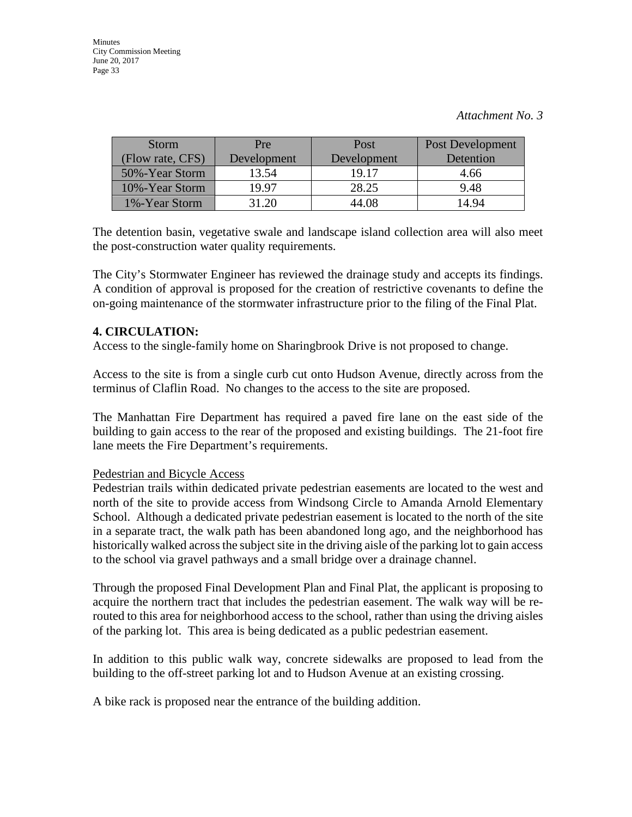| <b>Storm</b>     | Pre         | Post        | Post Development |
|------------------|-------------|-------------|------------------|
| (Flow rate, CFS) | Development | Development | Detention        |
| 50%-Year Storm   | 13.54       | 19.17       | 4.66             |
| 10%-Year Storm   | 19.97       | 28.25       | 9.48             |
| 1%-Year Storm    | 31.20       | 44.08       | 14.94            |

The detention basin, vegetative swale and landscape island collection area will also meet the post-construction water quality requirements.

The City's Stormwater Engineer has reviewed the drainage study and accepts its findings. A condition of approval is proposed for the creation of restrictive covenants to define the on-going maintenance of the stormwater infrastructure prior to the filing of the Final Plat.

#### **4. CIRCULATION:**

Access to the single-family home on Sharingbrook Drive is not proposed to change.

Access to the site is from a single curb cut onto Hudson Avenue, directly across from the terminus of Claflin Road. No changes to the access to the site are proposed.

The Manhattan Fire Department has required a paved fire lane on the east side of the building to gain access to the rear of the proposed and existing buildings. The 21-foot fire lane meets the Fire Department's requirements.

#### Pedestrian and Bicycle Access

Pedestrian trails within dedicated private pedestrian easements are located to the west and north of the site to provide access from Windsong Circle to Amanda Arnold Elementary School. Although a dedicated private pedestrian easement is located to the north of the site in a separate tract, the walk path has been abandoned long ago, and the neighborhood has historically walked across the subject site in the driving aisle of the parking lot to gain access to the school via gravel pathways and a small bridge over a drainage channel.

Through the proposed Final Development Plan and Final Plat, the applicant is proposing to acquire the northern tract that includes the pedestrian easement. The walk way will be rerouted to this area for neighborhood access to the school, rather than using the driving aisles of the parking lot. This area is being dedicated as a public pedestrian easement.

In addition to this public walk way, concrete sidewalks are proposed to lead from the building to the off-street parking lot and to Hudson Avenue at an existing crossing.

A bike rack is proposed near the entrance of the building addition.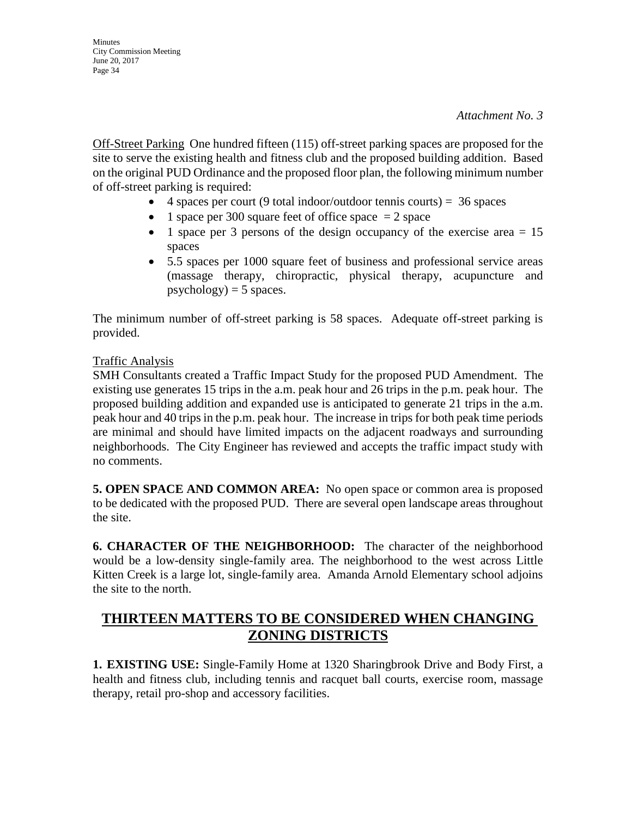Off-Street Parking One hundred fifteen (115) off-street parking spaces are proposed for the site to serve the existing health and fitness club and the proposed building addition. Based on the original PUD Ordinance and the proposed floor plan, the following minimum number of off-street parking is required:

- 4 spaces per court (9 total indoor/outdoor tennis courts) =  $36$  spaces
- 1 space per 300 square feet of office space  $= 2$  space
- 1 space per 3 persons of the design occupancy of the exercise area  $= 15$ spaces
- 5.5 spaces per 1000 square feet of business and professional service areas (massage therapy, chiropractic, physical therapy, acupuncture and  $psychology) = 5 spaces.$

The minimum number of off-street parking is 58 spaces. Adequate off-street parking is provided.

#### Traffic Analysis

SMH Consultants created a Traffic Impact Study for the proposed PUD Amendment. The existing use generates 15 trips in the a.m. peak hour and 26 trips in the p.m. peak hour. The proposed building addition and expanded use is anticipated to generate 21 trips in the a.m. peak hour and 40 trips in the p.m. peak hour. The increase in trips for both peak time periods are minimal and should have limited impacts on the adjacent roadways and surrounding neighborhoods. The City Engineer has reviewed and accepts the traffic impact study with no comments.

**5. OPEN SPACE AND COMMON AREA:** No open space or common area is proposed to be dedicated with the proposed PUD. There are several open landscape areas throughout the site.

**6. CHARACTER OF THE NEIGHBORHOOD:** The character of the neighborhood would be a low-density single-family area. The neighborhood to the west across Little Kitten Creek is a large lot, single-family area. Amanda Arnold Elementary school adjoins the site to the north.

## **THIRTEEN MATTERS TO BE CONSIDERED WHEN CHANGING ZONING DISTRICTS**

**1. EXISTING USE:** Single-Family Home at 1320 Sharingbrook Drive and Body First, a health and fitness club, including tennis and racquet ball courts, exercise room, massage therapy, retail pro-shop and accessory facilities.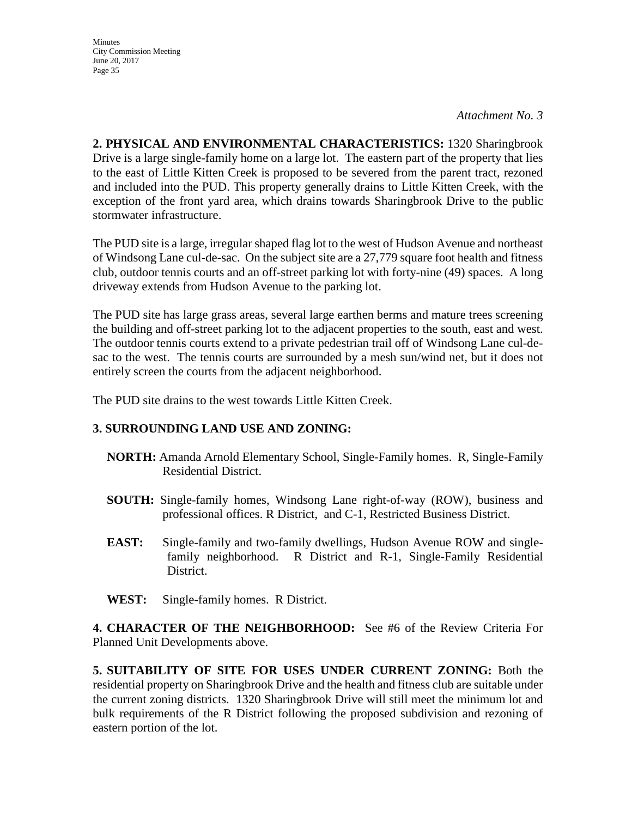*Attachment No. 3*

**2. PHYSICAL AND ENVIRONMENTAL CHARACTERISTICS:** 1320 Sharingbrook Drive is a large single-family home on a large lot. The eastern part of the property that lies to the east of Little Kitten Creek is proposed to be severed from the parent tract, rezoned and included into the PUD. This property generally drains to Little Kitten Creek, with the exception of the front yard area, which drains towards Sharingbrook Drive to the public stormwater infrastructure.

The PUD site is a large, irregular shaped flag lot to the west of Hudson Avenue and northeast of Windsong Lane cul-de-sac. On the subject site are a 27,779 square foot health and fitness club, outdoor tennis courts and an off-street parking lot with forty-nine (49) spaces. A long driveway extends from Hudson Avenue to the parking lot.

The PUD site has large grass areas, several large earthen berms and mature trees screening the building and off-street parking lot to the adjacent properties to the south, east and west. The outdoor tennis courts extend to a private pedestrian trail off of Windsong Lane cul-desac to the west. The tennis courts are surrounded by a mesh sun/wind net, but it does not entirely screen the courts from the adjacent neighborhood.

The PUD site drains to the west towards Little Kitten Creek.

## **3. SURROUNDING LAND USE AND ZONING:**

- **NORTH:** Amanda Arnold Elementary School, Single-Family homes. R, Single-Family Residential District.
- **SOUTH:** Single-family homes, Windsong Lane right-of-way (ROW), business and professional offices. R District, and C-1, Restricted Business District.
- **EAST:** Single-family and two-family dwellings, Hudson Avenue ROW and singlefamily neighborhood. R District and R-1, Single-Family Residential District.
- **WEST:** Single-family homes. R District.

**4. CHARACTER OF THE NEIGHBORHOOD:** See #6 of the Review Criteria For Planned Unit Developments above.

**5. SUITABILITY OF SITE FOR USES UNDER CURRENT ZONING:** Both the residential property on Sharingbrook Drive and the health and fitness club are suitable under the current zoning districts. 1320 Sharingbrook Drive will still meet the minimum lot and bulk requirements of the R District following the proposed subdivision and rezoning of eastern portion of the lot.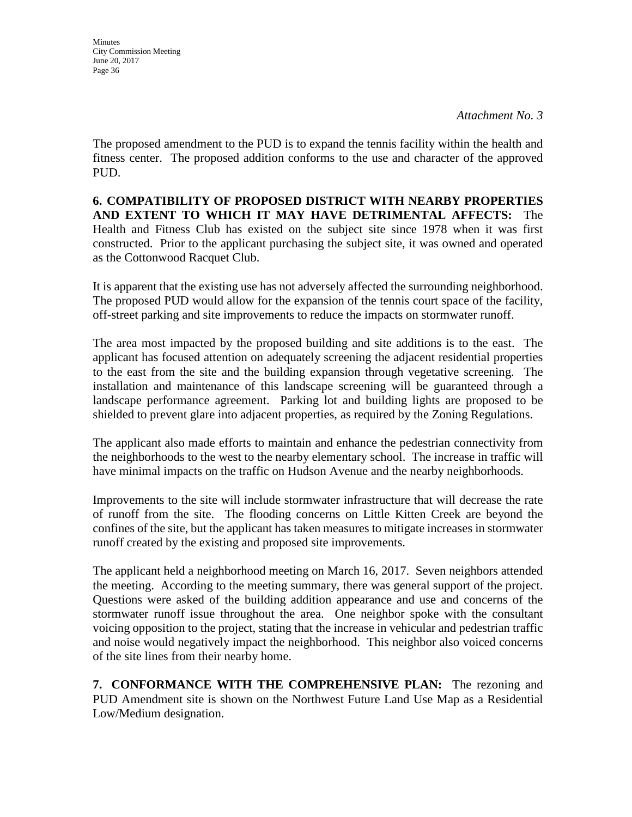**Minutes** City Commission Meeting June 20, 2017 Page 36

The proposed amendment to the PUD is to expand the tennis facility within the health and fitness center. The proposed addition conforms to the use and character of the approved PUD.

**6. COMPATIBILITY OF PROPOSED DISTRICT WITH NEARBY PROPERTIES AND EXTENT TO WHICH IT MAY HAVE DETRIMENTAL AFFECTS:** The Health and Fitness Club has existed on the subject site since 1978 when it was first constructed. Prior to the applicant purchasing the subject site, it was owned and operated as the Cottonwood Racquet Club.

It is apparent that the existing use has not adversely affected the surrounding neighborhood. The proposed PUD would allow for the expansion of the tennis court space of the facility, off-street parking and site improvements to reduce the impacts on stormwater runoff.

The area most impacted by the proposed building and site additions is to the east. The applicant has focused attention on adequately screening the adjacent residential properties to the east from the site and the building expansion through vegetative screening. The installation and maintenance of this landscape screening will be guaranteed through a landscape performance agreement. Parking lot and building lights are proposed to be shielded to prevent glare into adjacent properties, as required by the Zoning Regulations.

The applicant also made efforts to maintain and enhance the pedestrian connectivity from the neighborhoods to the west to the nearby elementary school. The increase in traffic will have minimal impacts on the traffic on Hudson Avenue and the nearby neighborhoods.

Improvements to the site will include stormwater infrastructure that will decrease the rate of runoff from the site. The flooding concerns on Little Kitten Creek are beyond the confines of the site, but the applicant has taken measures to mitigate increases in stormwater runoff created by the existing and proposed site improvements.

The applicant held a neighborhood meeting on March 16, 2017. Seven neighbors attended the meeting. According to the meeting summary, there was general support of the project. Questions were asked of the building addition appearance and use and concerns of the stormwater runoff issue throughout the area. One neighbor spoke with the consultant voicing opposition to the project, stating that the increase in vehicular and pedestrian traffic and noise would negatively impact the neighborhood. This neighbor also voiced concerns of the site lines from their nearby home.

**7. CONFORMANCE WITH THE COMPREHENSIVE PLAN:** The rezoning and PUD Amendment site is shown on the Northwest Future Land Use Map as a Residential Low/Medium designation.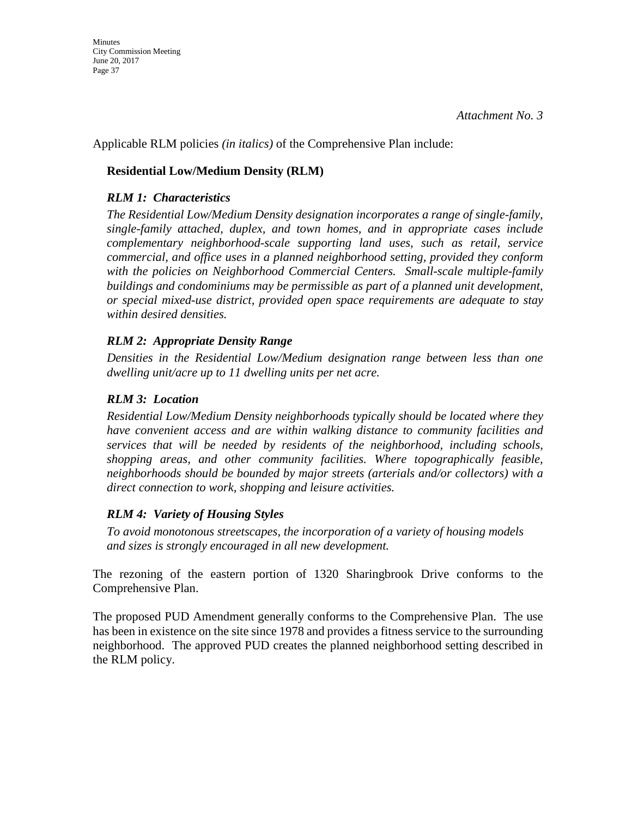Applicable RLM policies *(in italics)* of the Comprehensive Plan include:

## **Residential Low/Medium Density (RLM)**

## *RLM 1: Characteristics*

*The Residential Low/Medium Density designation incorporates a range of single-family, single-family attached, duplex, and town homes, and in appropriate cases include complementary neighborhood-scale supporting land uses, such as retail, service commercial, and office uses in a planned neighborhood setting, provided they conform with the policies on Neighborhood Commercial Centers. Small-scale multiple-family buildings and condominiums may be permissible as part of a planned unit development, or special mixed-use district, provided open space requirements are adequate to stay within desired densities.* 

## *RLM 2: Appropriate Density Range*

*Densities in the Residential Low/Medium designation range between less than one dwelling unit/acre up to 11 dwelling units per net acre.* 

## *RLM 3: Location*

*Residential Low/Medium Density neighborhoods typically should be located where they have convenient access and are within walking distance to community facilities and services that will be needed by residents of the neighborhood, including schools, shopping areas, and other community facilities. Where topographically feasible, neighborhoods should be bounded by major streets (arterials and/or collectors) with a direct connection to work, shopping and leisure activities.* 

## *RLM 4: Variety of Housing Styles*

*To avoid monotonous streetscapes, the incorporation of a variety of housing models and sizes is strongly encouraged in all new development.* 

The rezoning of the eastern portion of 1320 Sharingbrook Drive conforms to the Comprehensive Plan.

The proposed PUD Amendment generally conforms to the Comprehensive Plan. The use has been in existence on the site since 1978 and provides a fitness service to the surrounding neighborhood. The approved PUD creates the planned neighborhood setting described in the RLM policy.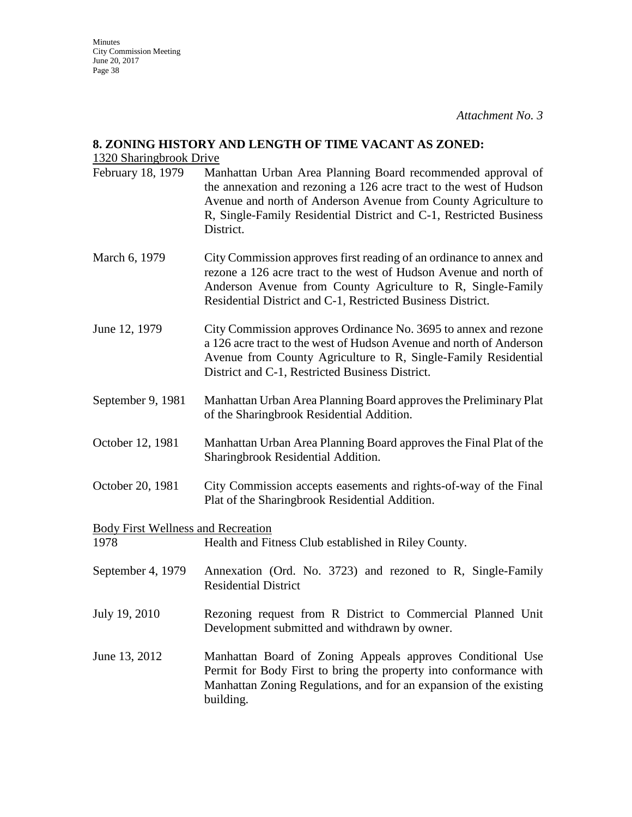#### **8. ZONING HISTORY AND LENGTH OF TIME VACANT AS ZONED:**

#### 1320 Sharingbrook Drive

- February 18, 1979 Manhattan Urban Area Planning Board recommended approval of the annexation and rezoning a 126 acre tract to the west of Hudson Avenue and north of Anderson Avenue from County Agriculture to R, Single-Family Residential District and C-1, Restricted Business District.
- March 6, 1979 City Commission approves first reading of an ordinance to annex and rezone a 126 acre tract to the west of Hudson Avenue and north of Anderson Avenue from County Agriculture to R, Single-Family Residential District and C-1, Restricted Business District.
- June 12, 1979 City Commission approves Ordinance No. 3695 to annex and rezone a 126 acre tract to the west of Hudson Avenue and north of Anderson Avenue from County Agriculture to R, Single-Family Residential District and C-1, Restricted Business District.
- September 9, 1981 Manhattan Urban Area Planning Board approves the Preliminary Plat of the Sharingbrook Residential Addition.
- October 12, 1981 Manhattan Urban Area Planning Board approves the Final Plat of the Sharingbrook Residential Addition.
- October 20, 1981 City Commission accepts easements and rights-of-way of the Final Plat of the Sharingbrook Residential Addition.

Body First Wellness and Recreation

1978 Health and Fitness Club established in Riley County.

- September 4, 1979 Annexation (Ord. No. 3723) and rezoned to R, Single-Family Residential District
- July 19, 2010 Rezoning request from R District to Commercial Planned Unit Development submitted and withdrawn by owner.
- June 13, 2012 Manhattan Board of Zoning Appeals approves Conditional Use Permit for Body First to bring the property into conformance with Manhattan Zoning Regulations, and for an expansion of the existing building.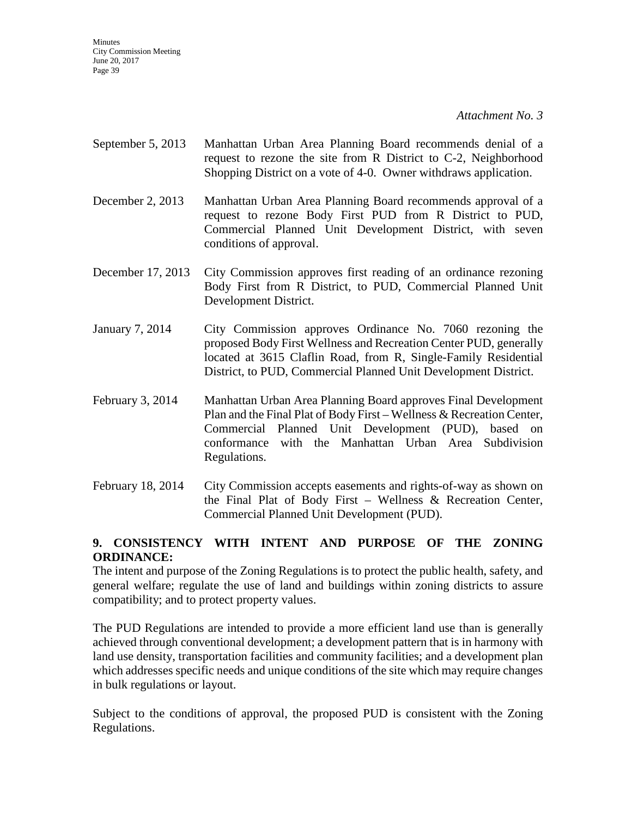*Attachment No. 3*

- September 5, 2013 Manhattan Urban Area Planning Board recommends denial of a request to rezone the site from R District to C-2, Neighborhood Shopping District on a vote of 4-0. Owner withdraws application.
- December 2, 2013 Manhattan Urban Area Planning Board recommends approval of a request to rezone Body First PUD from R District to PUD, Commercial Planned Unit Development District, with seven conditions of approval.
- December 17, 2013 City Commission approves first reading of an ordinance rezoning Body First from R District, to PUD, Commercial Planned Unit Development District.
- January 7, 2014 City Commission approves Ordinance No. 7060 rezoning the proposed Body First Wellness and Recreation Center PUD, generally located at 3615 Claflin Road, from R, Single-Family Residential District, to PUD, Commercial Planned Unit Development District.
- February 3, 2014 Manhattan Urban Area Planning Board approves Final Development Plan and the Final Plat of Body First – Wellness & Recreation Center, Commercial Planned Unit Development (PUD), based on conformance with the Manhattan Urban Area Subdivision Regulations.
- February 18, 2014 City Commission accepts easements and rights-of-way as shown on the Final Plat of Body First – Wellness & Recreation Center, Commercial Planned Unit Development (PUD).

## **9. CONSISTENCY WITH INTENT AND PURPOSE OF THE ZONING ORDINANCE:**

The intent and purpose of the Zoning Regulations is to protect the public health, safety, and general welfare; regulate the use of land and buildings within zoning districts to assure compatibility; and to protect property values.

The PUD Regulations are intended to provide a more efficient land use than is generally achieved through conventional development; a development pattern that is in harmony with land use density, transportation facilities and community facilities; and a development plan which addresses specific needs and unique conditions of the site which may require changes in bulk regulations or layout.

Subject to the conditions of approval, the proposed PUD is consistent with the Zoning Regulations.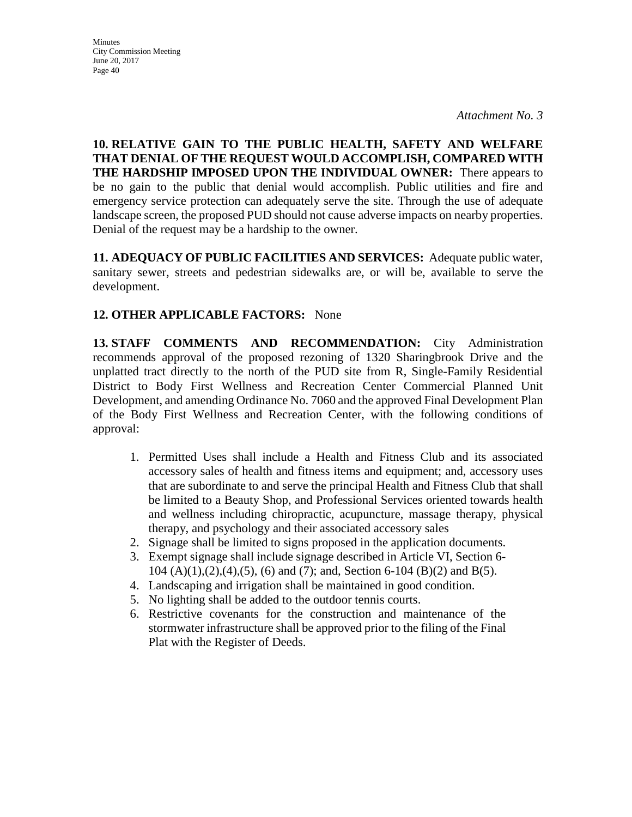**Minutes** City Commission Meeting June 20, 2017 Page 40

**10. RELATIVE GAIN TO THE PUBLIC HEALTH, SAFETY AND WELFARE THAT DENIAL OF THE REQUEST WOULD ACCOMPLISH, COMPARED WITH THE HARDSHIP IMPOSED UPON THE INDIVIDUAL OWNER:** There appears to be no gain to the public that denial would accomplish. Public utilities and fire and emergency service protection can adequately serve the site. Through the use of adequate landscape screen, the proposed PUD should not cause adverse impacts on nearby properties. Denial of the request may be a hardship to the owner.

**11. ADEQUACY OF PUBLIC FACILITIES AND SERVICES:** Adequate public water, sanitary sewer, streets and pedestrian sidewalks are, or will be, available to serve the development.

## **12. OTHER APPLICABLE FACTORS:** None

**13. STAFF COMMENTS AND RECOMMENDATION:** City Administration recommends approval of the proposed rezoning of 1320 Sharingbrook Drive and the unplatted tract directly to the north of the PUD site from R, Single-Family Residential District to Body First Wellness and Recreation Center Commercial Planned Unit Development, and amending Ordinance No. 7060 and the approved Final Development Plan of the Body First Wellness and Recreation Center, with the following conditions of approval:

- 1. Permitted Uses shall include a Health and Fitness Club and its associated accessory sales of health and fitness items and equipment; and, accessory uses that are subordinate to and serve the principal Health and Fitness Club that shall be limited to a Beauty Shop, and Professional Services oriented towards health and wellness including chiropractic, acupuncture, massage therapy, physical therapy, and psychology and their associated accessory sales
- 2. Signage shall be limited to signs proposed in the application documents.
- 3. Exempt signage shall include signage described in Article VI, Section 6- 104 (A)(1),(2),(4),(5), (6) and (7); and, Section 6-104 (B)(2) and B(5).
- 4. Landscaping and irrigation shall be maintained in good condition.
- 5. No lighting shall be added to the outdoor tennis courts.
- 6. Restrictive covenants for the construction and maintenance of the stormwater infrastructure shall be approved prior to the filing of the Final Plat with the Register of Deeds.